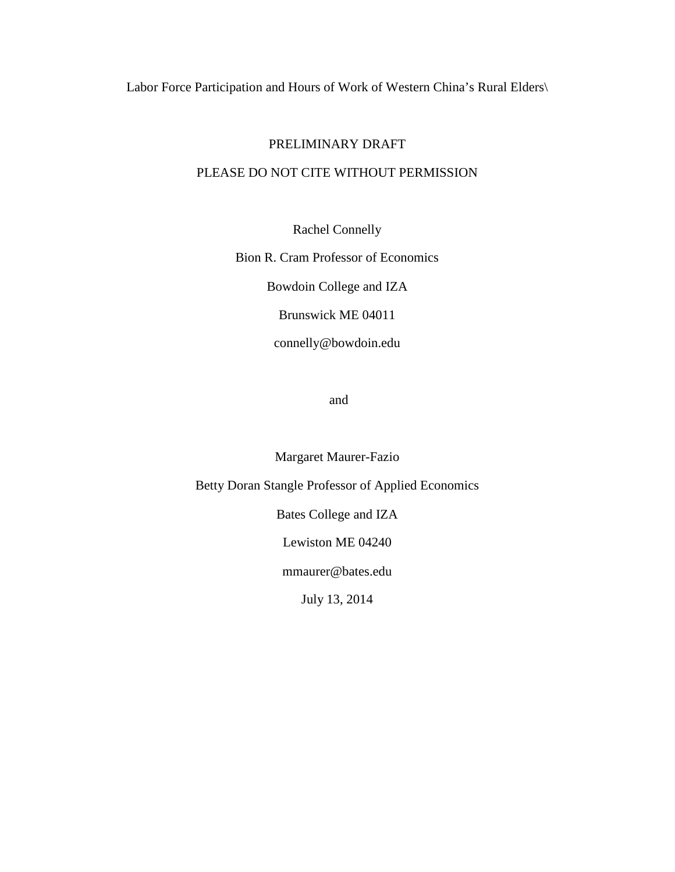Labor Force Participation and Hours of Work of Western China's Rural Elders\

### PRELIMINARY DRAFT

## PLEASE DO NOT CITE WITHOUT PERMISSION

Rachel Connelly

Bion R. Cram Professor of Economics

Bowdoin College and IZA

Brunswick ME 04011

connelly@bowdoin.edu

and

Margaret Maurer-Fazio

Betty Doran Stangle Professor of Applied Economics

Bates College and IZA

Lewiston ME 04240

mmaurer@bates.edu

July 13, 2014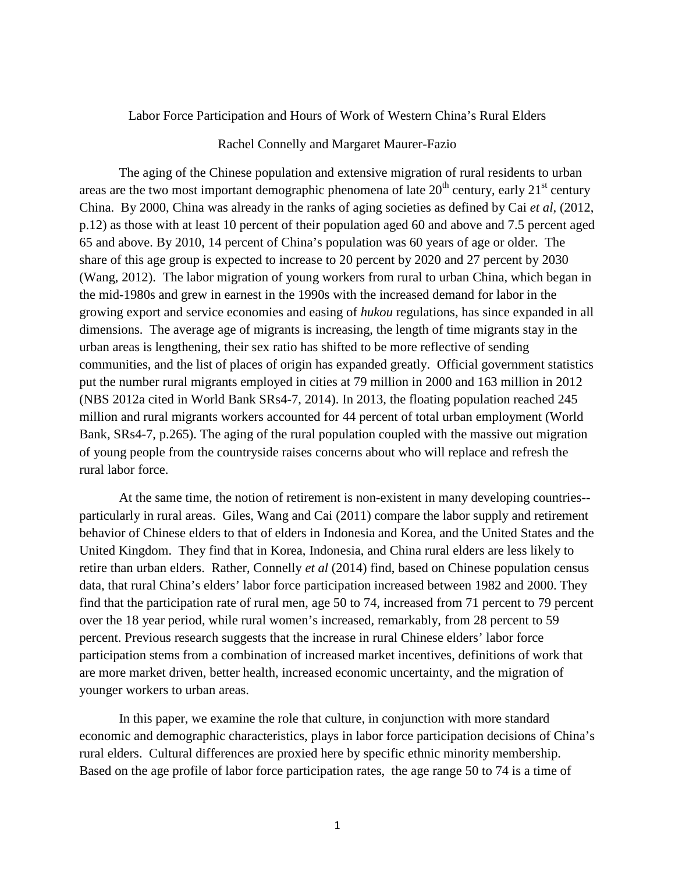#### Labor Force Participation and Hours of Work of Western China's Rural Elders

#### Rachel Connelly and Margaret Maurer-Fazio

The aging of the Chinese population and extensive migration of rural residents to urban areas are the two most important demographic phenomena of late  $20<sup>th</sup>$  century, early  $21<sup>st</sup>$  century China. By 2000, China was already in the ranks of aging societies as defined by Cai *et al,* (2012, p.12) as those with at least 10 percent of their population aged 60 and above and 7.5 percent aged 65 and above. By 2010, 14 percent of China's population was 60 years of age or older. The share of this age group is expected to increase to 20 percent by 2020 and 27 percent by 2030 (Wang, 2012). The labor migration of young workers from rural to urban China, which began in the mid-1980s and grew in earnest in the 1990s with the increased demand for labor in the growing export and service economies and easing of *hukou* regulations, has since expanded in all dimensions. The average age of migrants is increasing, the length of time migrants stay in the urban areas is lengthening, their sex ratio has shifted to be more reflective of sending communities, and the list of places of origin has expanded greatly. Official government statistics put the number rural migrants employed in cities at 79 million in 2000 and 163 million in 2012 (NBS 2012a cited in World Bank SRs4-7, 2014). In 2013, the floating population reached 245 million and rural migrants workers accounted for 44 percent of total urban employment (World Bank, SRs4-7, p.265). The aging of the rural population coupled with the massive out migration of young people from the countryside raises concerns about who will replace and refresh the rural labor force.

 At the same time, the notion of retirement is non-existent in many developing countries- particularly in rural areas. Giles, Wang and Cai (2011) compare the labor supply and retirement behavior of Chinese elders to that of elders in Indonesia and Korea, and the United States and the United Kingdom. They find that in Korea, Indonesia, and China rural elders are less likely to retire than urban elders. Rather, Connelly *et al* (2014) find, based on Chinese population census data, that rural China's elders' labor force participation increased between 1982 and 2000. They find that the participation rate of rural men, age 50 to 74, increased from 71 percent to 79 percent over the 18 year period, while rural women's increased, remarkably, from 28 percent to 59 percent. Previous research suggests that the increase in rural Chinese elders' labor force participation stems from a combination of increased market incentives, definitions of work that are more market driven, better health, increased economic uncertainty, and the migration of younger workers to urban areas.

 In this paper, we examine the role that culture, in conjunction with more standard economic and demographic characteristics, plays in labor force participation decisions of China's rural elders. Cultural differences are proxied here by specific ethnic minority membership. Based on the age profile of labor force participation rates, the age range 50 to 74 is a time of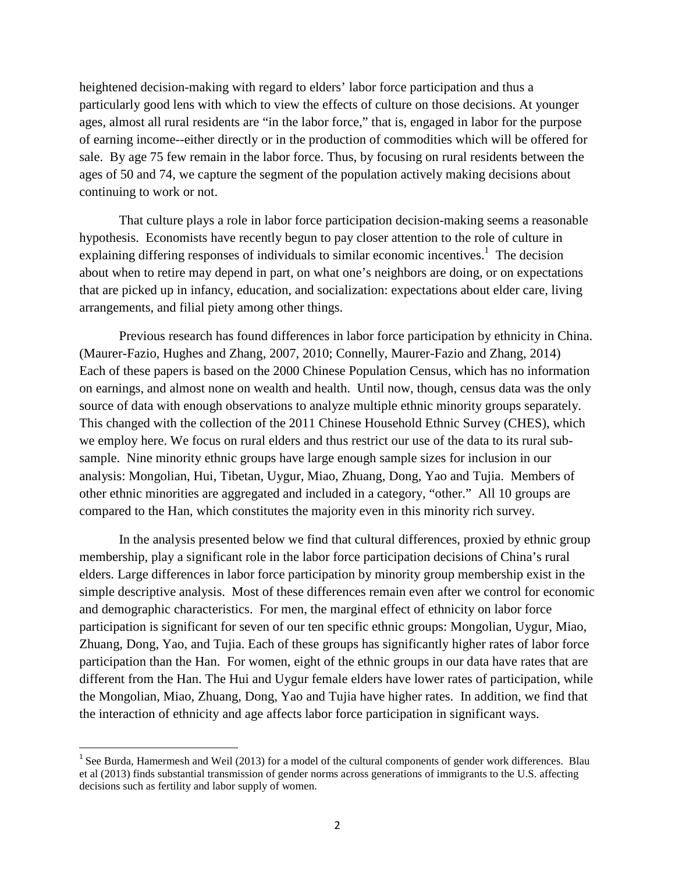heightened decision-making with regard to elders' labor force participation and thus a particularly good lens with which to view the effects of culture on those decisions. At younger ages, almost all rural residents are "in the labor force," that is, engaged in labor for the purpose of earning income--either directly or in the production of commodities which will be offered for sale. By age 75 few remain in the labor force. Thus, by focusing on rural residents between the ages of 50 and 74, we capture the segment of the population actively making decisions about continuing to work or not.

That culture plays a role in labor force participation decision-making seems a reasonable hypothesis. Economists have recently begun to pay closer attention to the role of culture in explaining differing responses of individuals to similar economic incentives.<sup>1</sup> The decision about when to retire may depend in part, on what one's neighbors are doing, or on expectations that are picked up in infancy, education, and socialization: expectations about elder care, living arrangements, and filial piety among other things.

 Previous research has found differences in labor force participation by ethnicity in China. (Maurer-Fazio, Hughes and Zhang, 2007, 2010; Connelly, Maurer-Fazio and Zhang, 2014) Each of these papers is based on the 2000 Chinese Population Census, which has no information on earnings, and almost none on wealth and health. Until now, though, census data was the only source of data with enough observations to analyze multiple ethnic minority groups separately. This changed with the collection of the 2011 Chinese Household Ethnic Survey (CHES), which we employ here. We focus on rural elders and thus restrict our use of the data to its rural subsample. Nine minority ethnic groups have large enough sample sizes for inclusion in our analysis: Mongolian, Hui, Tibetan, Uygur, Miao, Zhuang, Dong, Yao and Tujia. Members of other ethnic minorities are aggregated and included in a category, "other." All 10 groups are compared to the Han, which constitutes the majority even in this minority rich survey.

In the analysis presented below we find that cultural differences, proxied by ethnic group membership, play a significant role in the labor force participation decisions of China's rural elders. Large differences in labor force participation by minority group membership exist in the simple descriptive analysis. Most of these differences remain even after we control for economic and demographic characteristics. For men, the marginal effect of ethnicity on labor force participation is significant for seven of our ten specific ethnic groups: Mongolian, Uygur, Miao, Zhuang, Dong, Yao, and Tujia. Each of these groups has significantly higher rates of labor force participation than the Han. For women, eight of the ethnic groups in our data have rates that are different from the Han. The Hui and Uygur female elders have lower rates of participation, while the Mongolian, Miao, Zhuang, Dong, Yao and Tujia have higher rates. In addition, we find that the interaction of ethnicity and age affects labor force participation in significant ways.

<u>.</u>

<sup>&</sup>lt;sup>1</sup> See Burda, Hamermesh and Weil (2013) for a model of the cultural components of gender work differences. Blau et al (2013) finds substantial transmission of gender norms across generations of immigrants to the U.S. affecting decisions such as fertility and labor supply of women.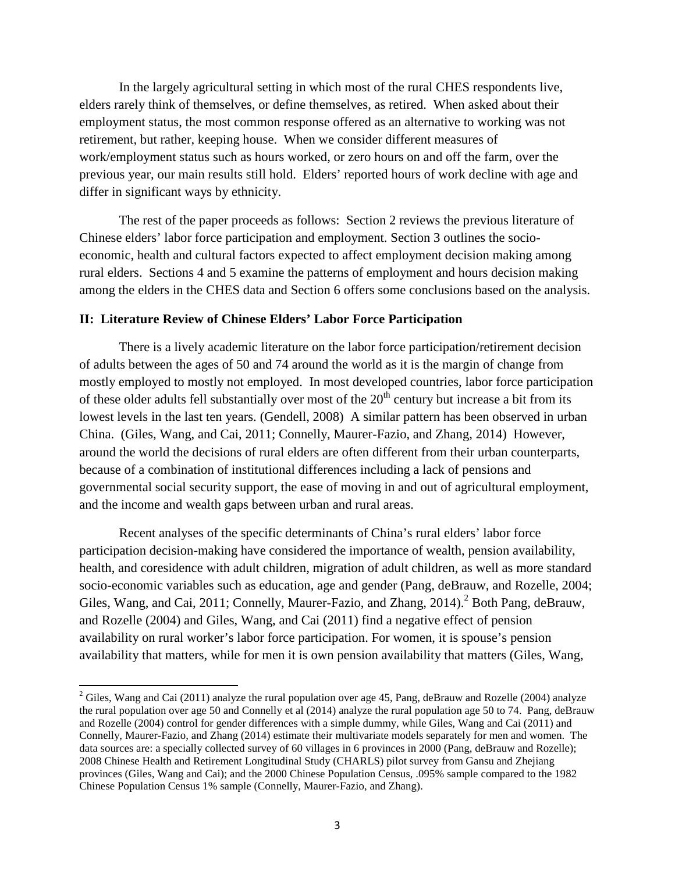In the largely agricultural setting in which most of the rural CHES respondents live, elders rarely think of themselves, or define themselves, as retired. When asked about their employment status, the most common response offered as an alternative to working was not retirement, but rather, keeping house. When we consider different measures of work/employment status such as hours worked, or zero hours on and off the farm, over the previous year, our main results still hold. Elders' reported hours of work decline with age and differ in significant ways by ethnicity.

 The rest of the paper proceeds as follows: Section 2 reviews the previous literature of Chinese elders' labor force participation and employment. Section 3 outlines the socioeconomic, health and cultural factors expected to affect employment decision making among rural elders. Sections 4 and 5 examine the patterns of employment and hours decision making among the elders in the CHES data and Section 6 offers some conclusions based on the analysis.

### **II: Literature Review of Chinese Elders' Labor Force Participation**

<u>.</u>

 There is a lively academic literature on the labor force participation/retirement decision of adults between the ages of 50 and 74 around the world as it is the margin of change from mostly employed to mostly not employed. In most developed countries, labor force participation of these older adults fell substantially over most of the  $20<sup>th</sup>$  century but increase a bit from its lowest levels in the last ten years. (Gendell, 2008) A similar pattern has been observed in urban China. (Giles, Wang, and Cai, 2011; Connelly, Maurer-Fazio, and Zhang, 2014) However, around the world the decisions of rural elders are often different from their urban counterparts, because of a combination of institutional differences including a lack of pensions and governmental social security support, the ease of moving in and out of agricultural employment, and the income and wealth gaps between urban and rural areas.

Recent analyses of the specific determinants of China's rural elders' labor force participation decision-making have considered the importance of wealth, pension availability, health, and coresidence with adult children, migration of adult children, as well as more standard socio-economic variables such as education, age and gender (Pang, deBrauw, and Rozelle, 2004; Giles, Wang, and Cai, 2011; Connelly, Maurer-Fazio, and Zhang, 2014).<sup>2</sup> Both Pang, deBrauw, and Rozelle (2004) and Giles, Wang, and Cai (2011) find a negative effect of pension availability on rural worker's labor force participation. For women, it is spouse's pension availability that matters, while for men it is own pension availability that matters (Giles, Wang,

<sup>&</sup>lt;sup>2</sup> Giles, Wang and Cai (2011) analyze the rural population over age 45, Pang, deBrauw and Rozelle (2004) analyze the rural population over age 50 and Connelly et al (2014) analyze the rural population age 50 to 74. Pang, deBrauw and Rozelle (2004) control for gender differences with a simple dummy, while Giles, Wang and Cai (2011) and Connelly, Maurer-Fazio, and Zhang (2014) estimate their multivariate models separately for men and women. The data sources are: a specially collected survey of 60 villages in 6 provinces in 2000 (Pang, deBrauw and Rozelle); 2008 Chinese Health and Retirement Longitudinal Study (CHARLS) pilot survey from Gansu and Zhejiang provinces (Giles, Wang and Cai); and the 2000 Chinese Population Census, .095% sample compared to the 1982 Chinese Population Census 1% sample (Connelly, Maurer-Fazio, and Zhang).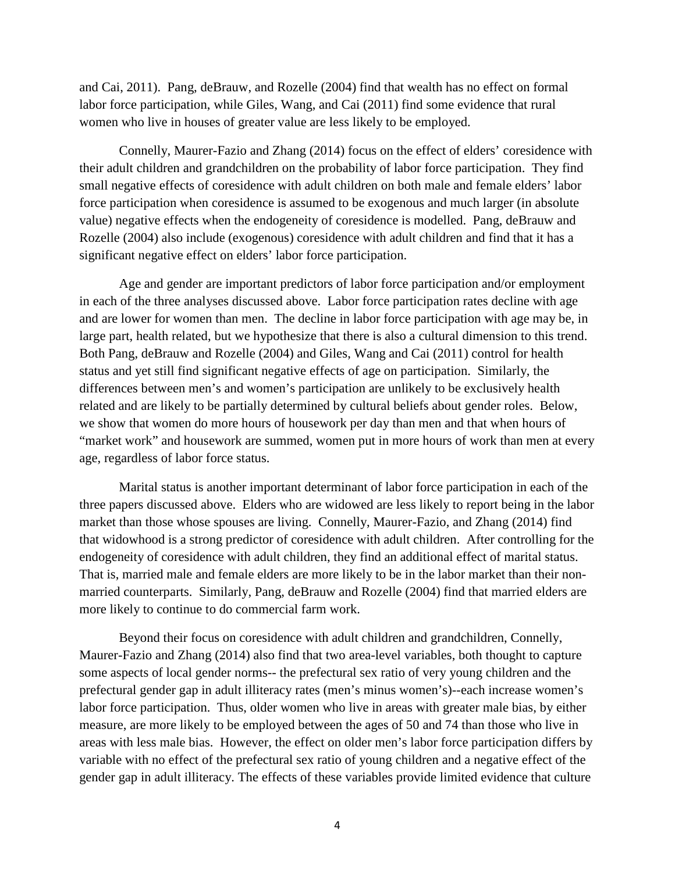and Cai, 2011). Pang, deBrauw, and Rozelle (2004) find that wealth has no effect on formal labor force participation, while Giles, Wang, and Cai (2011) find some evidence that rural women who live in houses of greater value are less likely to be employed.

Connelly, Maurer-Fazio and Zhang (2014) focus on the effect of elders' coresidence with their adult children and grandchildren on the probability of labor force participation. They find small negative effects of coresidence with adult children on both male and female elders' labor force participation when coresidence is assumed to be exogenous and much larger (in absolute value) negative effects when the endogeneity of coresidence is modelled. Pang, deBrauw and Rozelle (2004) also include (exogenous) coresidence with adult children and find that it has a significant negative effect on elders' labor force participation.

 Age and gender are important predictors of labor force participation and/or employment in each of the three analyses discussed above. Labor force participation rates decline with age and are lower for women than men. The decline in labor force participation with age may be, in large part, health related, but we hypothesize that there is also a cultural dimension to this trend. Both Pang, deBrauw and Rozelle (2004) and Giles, Wang and Cai (2011) control for health status and yet still find significant negative effects of age on participation. Similarly, the differences between men's and women's participation are unlikely to be exclusively health related and are likely to be partially determined by cultural beliefs about gender roles. Below, we show that women do more hours of housework per day than men and that when hours of "market work" and housework are summed, women put in more hours of work than men at every age, regardless of labor force status.

 Marital status is another important determinant of labor force participation in each of the three papers discussed above. Elders who are widowed are less likely to report being in the labor market than those whose spouses are living. Connelly, Maurer-Fazio, and Zhang (2014) find that widowhood is a strong predictor of coresidence with adult children. After controlling for the endogeneity of coresidence with adult children, they find an additional effect of marital status. That is, married male and female elders are more likely to be in the labor market than their nonmarried counterparts. Similarly, Pang, deBrauw and Rozelle (2004) find that married elders are more likely to continue to do commercial farm work.

Beyond their focus on coresidence with adult children and grandchildren, Connelly, Maurer-Fazio and Zhang (2014) also find that two area-level variables, both thought to capture some aspects of local gender norms-- the prefectural sex ratio of very young children and the prefectural gender gap in adult illiteracy rates (men's minus women's)--each increase women's labor force participation. Thus, older women who live in areas with greater male bias, by either measure, are more likely to be employed between the ages of 50 and 74 than those who live in areas with less male bias. However, the effect on older men's labor force participation differs by variable with no effect of the prefectural sex ratio of young children and a negative effect of the gender gap in adult illiteracy. The effects of these variables provide limited evidence that culture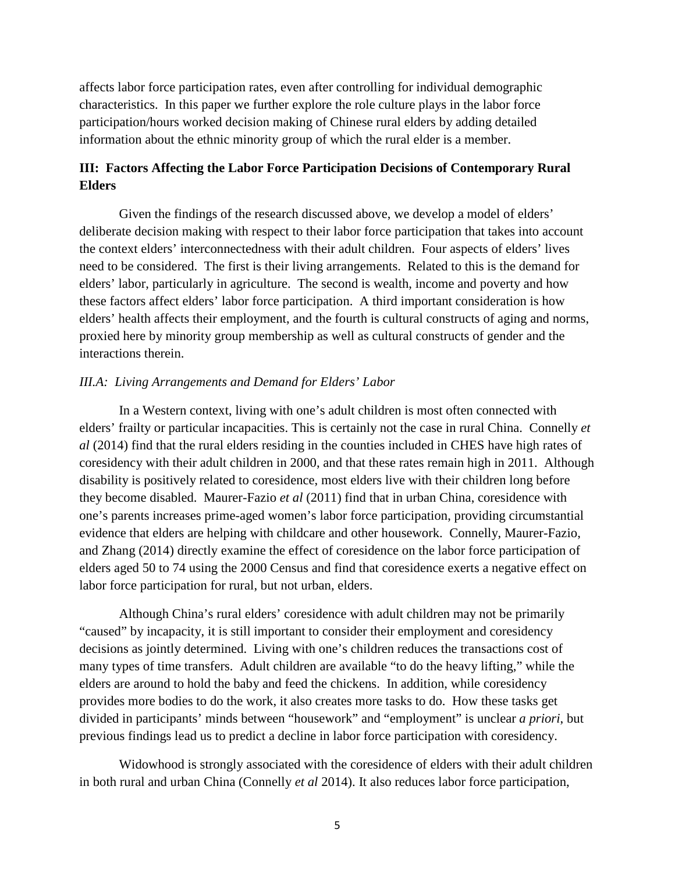affects labor force participation rates, even after controlling for individual demographic characteristics. In this paper we further explore the role culture plays in the labor force participation/hours worked decision making of Chinese rural elders by adding detailed information about the ethnic minority group of which the rural elder is a member.

## **III: Factors Affecting the Labor Force Participation Decisions of Contemporary Rural Elders**

Given the findings of the research discussed above, we develop a model of elders' deliberate decision making with respect to their labor force participation that takes into account the context elders' interconnectedness with their adult children. Four aspects of elders' lives need to be considered. The first is their living arrangements. Related to this is the demand for elders' labor, particularly in agriculture. The second is wealth, income and poverty and how these factors affect elders' labor force participation. A third important consideration is how elders' health affects their employment, and the fourth is cultural constructs of aging and norms, proxied here by minority group membership as well as cultural constructs of gender and the interactions therein.

### *III.A: Living Arrangements and Demand for Elders' Labor*

In a Western context, living with one's adult children is most often connected with elders' frailty or particular incapacities. This is certainly not the case in rural China. Connelly *et al* (2014) find that the rural elders residing in the counties included in CHES have high rates of coresidency with their adult children in 2000, and that these rates remain high in 2011. Although disability is positively related to coresidence, most elders live with their children long before they become disabled. Maurer-Fazio *et al* (2011) find that in urban China, coresidence with one's parents increases prime-aged women's labor force participation, providing circumstantial evidence that elders are helping with childcare and other housework. Connelly, Maurer-Fazio, and Zhang (2014) directly examine the effect of coresidence on the labor force participation of elders aged 50 to 74 using the 2000 Census and find that coresidence exerts a negative effect on labor force participation for rural, but not urban, elders.

Although China's rural elders' coresidence with adult children may not be primarily "caused" by incapacity, it is still important to consider their employment and coresidency decisions as jointly determined. Living with one's children reduces the transactions cost of many types of time transfers. Adult children are available "to do the heavy lifting," while the elders are around to hold the baby and feed the chickens. In addition, while coresidency provides more bodies to do the work, it also creates more tasks to do. How these tasks get divided in participants' minds between "housework" and "employment" is unclear *a priori*, but previous findings lead us to predict a decline in labor force participation with coresidency.

Widowhood is strongly associated with the coresidence of elders with their adult children in both rural and urban China (Connelly *et al* 2014). It also reduces labor force participation,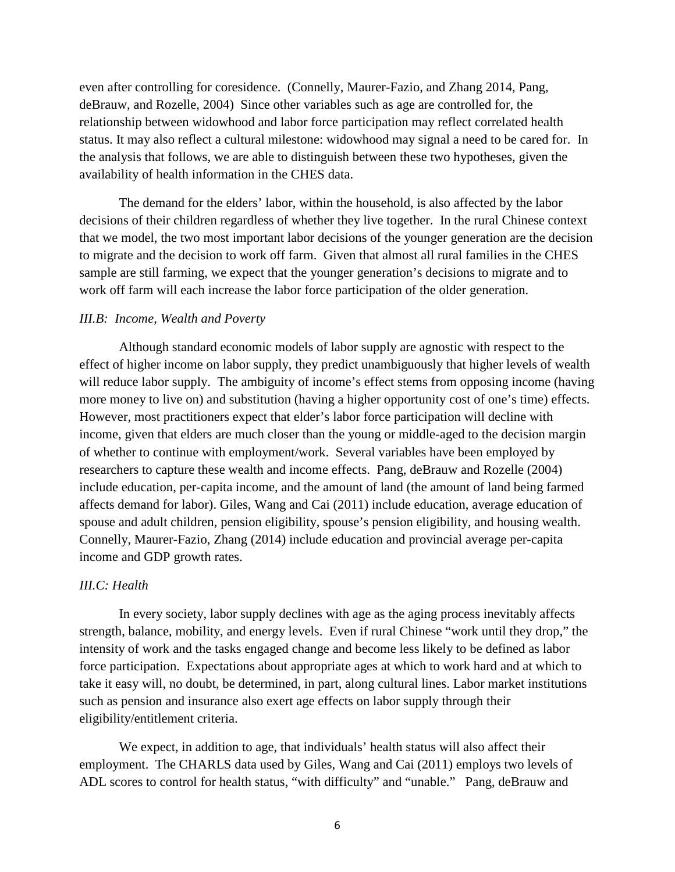even after controlling for coresidence. (Connelly, Maurer-Fazio, and Zhang 2014, Pang, deBrauw, and Rozelle, 2004) Since other variables such as age are controlled for, the relationship between widowhood and labor force participation may reflect correlated health status. It may also reflect a cultural milestone: widowhood may signal a need to be cared for. In the analysis that follows, we are able to distinguish between these two hypotheses, given the availability of health information in the CHES data.

The demand for the elders' labor, within the household, is also affected by the labor decisions of their children regardless of whether they live together. In the rural Chinese context that we model, the two most important labor decisions of the younger generation are the decision to migrate and the decision to work off farm. Given that almost all rural families in the CHES sample are still farming, we expect that the younger generation's decisions to migrate and to work off farm will each increase the labor force participation of the older generation.

#### *III.B: Income, Wealth and Poverty*

 Although standard economic models of labor supply are agnostic with respect to the effect of higher income on labor supply, they predict unambiguously that higher levels of wealth will reduce labor supply. The ambiguity of income's effect stems from opposing income (having more money to live on) and substitution (having a higher opportunity cost of one's time) effects. However, most practitioners expect that elder's labor force participation will decline with income, given that elders are much closer than the young or middle-aged to the decision margin of whether to continue with employment/work. Several variables have been employed by researchers to capture these wealth and income effects. Pang, deBrauw and Rozelle (2004) include education, per-capita income, and the amount of land (the amount of land being farmed affects demand for labor). Giles, Wang and Cai (2011) include education, average education of spouse and adult children, pension eligibility, spouse's pension eligibility, and housing wealth. Connelly, Maurer-Fazio, Zhang (2014) include education and provincial average per-capita income and GDP growth rates.

#### *III.C: Health*

In every society, labor supply declines with age as the aging process inevitably affects strength, balance, mobility, and energy levels. Even if rural Chinese "work until they drop," the intensity of work and the tasks engaged change and become less likely to be defined as labor force participation. Expectations about appropriate ages at which to work hard and at which to take it easy will, no doubt, be determined, in part, along cultural lines. Labor market institutions such as pension and insurance also exert age effects on labor supply through their eligibility/entitlement criteria.

We expect, in addition to age, that individuals' health status will also affect their employment. The CHARLS data used by Giles, Wang and Cai (2011) employs two levels of ADL scores to control for health status, "with difficulty" and "unable." Pang, deBrauw and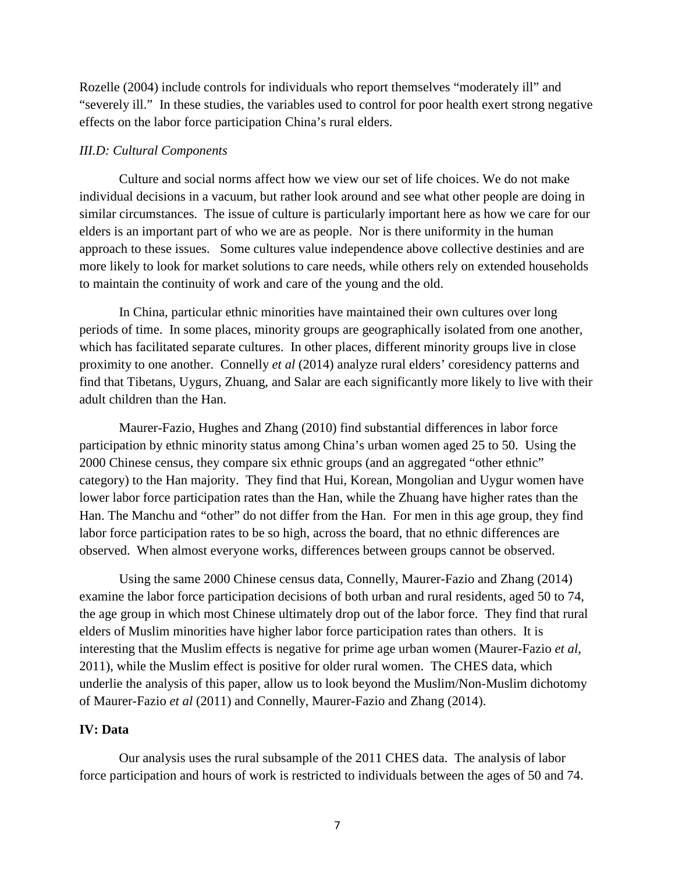Rozelle (2004) include controls for individuals who report themselves "moderately ill" and "severely ill." In these studies, the variables used to control for poor health exert strong negative effects on the labor force participation China's rural elders.

#### *III.D: Cultural Components*

 Culture and social norms affect how we view our set of life choices. We do not make individual decisions in a vacuum, but rather look around and see what other people are doing in similar circumstances. The issue of culture is particularly important here as how we care for our elders is an important part of who we are as people. Nor is there uniformity in the human approach to these issues. Some cultures value independence above collective destinies and are more likely to look for market solutions to care needs, while others rely on extended households to maintain the continuity of work and care of the young and the old.

 In China, particular ethnic minorities have maintained their own cultures over long periods of time. In some places, minority groups are geographically isolated from one another, which has facilitated separate cultures. In other places, different minority groups live in close proximity to one another. Connelly *et al* (2014) analyze rural elders' coresidency patterns and find that Tibetans, Uygurs, Zhuang, and Salar are each significantly more likely to live with their adult children than the Han.

Maurer-Fazio, Hughes and Zhang (2010) find substantial differences in labor force participation by ethnic minority status among China's urban women aged 25 to 50. Using the 2000 Chinese census, they compare six ethnic groups (and an aggregated "other ethnic" category) to the Han majority. They find that Hui, Korean, Mongolian and Uygur women have lower labor force participation rates than the Han, while the Zhuang have higher rates than the Han. The Manchu and "other" do not differ from the Han. For men in this age group, they find labor force participation rates to be so high, across the board, that no ethnic differences are observed. When almost everyone works, differences between groups cannot be observed.

Using the same 2000 Chinese census data, Connelly, Maurer-Fazio and Zhang (2014) examine the labor force participation decisions of both urban and rural residents, aged 50 to 74, the age group in which most Chinese ultimately drop out of the labor force. They find that rural elders of Muslim minorities have higher labor force participation rates than others. It is interesting that the Muslim effects is negative for prime age urban women (Maurer-Fazio *et al*, 2011), while the Muslim effect is positive for older rural women. The CHES data, which underlie the analysis of this paper, allow us to look beyond the Muslim/Non-Muslim dichotomy of Maurer-Fazio *et al* (2011) and Connelly, Maurer-Fazio and Zhang (2014).

### **IV: Data**

 Our analysis uses the rural subsample of the 2011 CHES data. The analysis of labor force participation and hours of work is restricted to individuals between the ages of 50 and 74.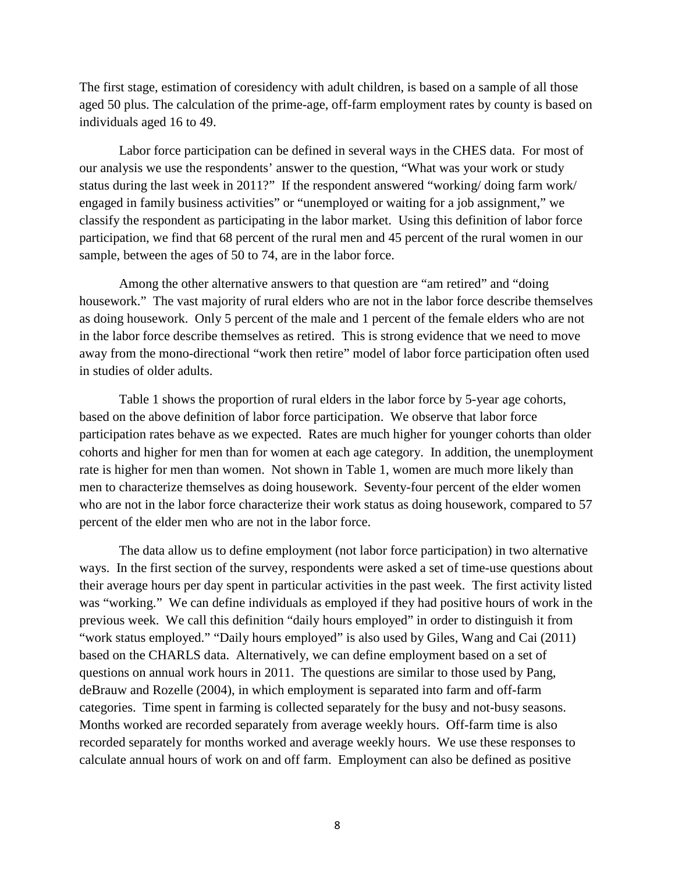The first stage, estimation of coresidency with adult children, is based on a sample of all those aged 50 plus. The calculation of the prime-age, off-farm employment rates by county is based on individuals aged 16 to 49.

 Labor force participation can be defined in several ways in the CHES data. For most of our analysis we use the respondents' answer to the question, "What was your work or study status during the last week in 2011?" If the respondent answered "working/ doing farm work/ engaged in family business activities" or "unemployed or waiting for a job assignment," we classify the respondent as participating in the labor market. Using this definition of labor force participation, we find that 68 percent of the rural men and 45 percent of the rural women in our sample, between the ages of 50 to 74, are in the labor force.

Among the other alternative answers to that question are "am retired" and "doing housework." The vast majority of rural elders who are not in the labor force describe themselves as doing housework. Only 5 percent of the male and 1 percent of the female elders who are not in the labor force describe themselves as retired. This is strong evidence that we need to move away from the mono-directional "work then retire" model of labor force participation often used in studies of older adults.

Table 1 shows the proportion of rural elders in the labor force by 5-year age cohorts, based on the above definition of labor force participation. We observe that labor force participation rates behave as we expected. Rates are much higher for younger cohorts than older cohorts and higher for men than for women at each age category. In addition, the unemployment rate is higher for men than women. Not shown in Table 1, women are much more likely than men to characterize themselves as doing housework. Seventy-four percent of the elder women who are not in the labor force characterize their work status as doing housework, compared to 57 percent of the elder men who are not in the labor force.

The data allow us to define employment (not labor force participation) in two alternative ways. In the first section of the survey, respondents were asked a set of time-use questions about their average hours per day spent in particular activities in the past week. The first activity listed was "working." We can define individuals as employed if they had positive hours of work in the previous week. We call this definition "daily hours employed" in order to distinguish it from "work status employed." "Daily hours employed" is also used by Giles, Wang and Cai (2011) based on the CHARLS data. Alternatively, we can define employment based on a set of questions on annual work hours in 2011. The questions are similar to those used by Pang, deBrauw and Rozelle (2004), in which employment is separated into farm and off-farm categories. Time spent in farming is collected separately for the busy and not-busy seasons. Months worked are recorded separately from average weekly hours. Off-farm time is also recorded separately for months worked and average weekly hours. We use these responses to calculate annual hours of work on and off farm. Employment can also be defined as positive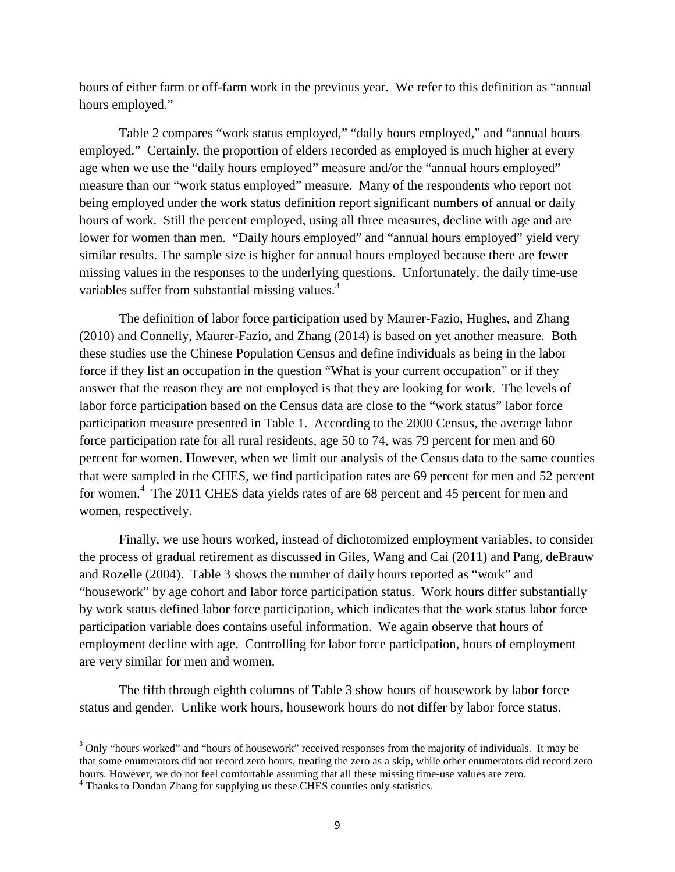hours of either farm or off-farm work in the previous year. We refer to this definition as "annual hours employed."

Table 2 compares "work status employed," "daily hours employed," and "annual hours employed." Certainly, the proportion of elders recorded as employed is much higher at every age when we use the "daily hours employed" measure and/or the "annual hours employed" measure than our "work status employed" measure. Many of the respondents who report not being employed under the work status definition report significant numbers of annual or daily hours of work. Still the percent employed, using all three measures, decline with age and are lower for women than men. "Daily hours employed" and "annual hours employed" yield very similar results. The sample size is higher for annual hours employed because there are fewer missing values in the responses to the underlying questions. Unfortunately, the daily time-use variables suffer from substantial missing values.<sup>3</sup>

The definition of labor force participation used by Maurer-Fazio, Hughes, and Zhang (2010) and Connelly, Maurer-Fazio, and Zhang (2014) is based on yet another measure. Both these studies use the Chinese Population Census and define individuals as being in the labor force if they list an occupation in the question "What is your current occupation" or if they answer that the reason they are not employed is that they are looking for work. The levels of labor force participation based on the Census data are close to the "work status" labor force participation measure presented in Table 1. According to the 2000 Census, the average labor force participation rate for all rural residents, age 50 to 74, was 79 percent for men and 60 percent for women. However, when we limit our analysis of the Census data to the same counties that were sampled in the CHES, we find participation rates are 69 percent for men and 52 percent for women.<sup>4</sup> The 2011 CHES data yields rates of are 68 percent and 45 percent for men and women, respectively.

Finally, we use hours worked, instead of dichotomized employment variables, to consider the process of gradual retirement as discussed in Giles, Wang and Cai (2011) and Pang, deBrauw and Rozelle (2004). Table 3 shows the number of daily hours reported as "work" and "housework" by age cohort and labor force participation status. Work hours differ substantially by work status defined labor force participation, which indicates that the work status labor force participation variable does contains useful information. We again observe that hours of employment decline with age. Controlling for labor force participation, hours of employment are very similar for men and women.

The fifth through eighth columns of Table 3 show hours of housework by labor force status and gender. Unlike work hours, housework hours do not differ by labor force status.

-

<sup>&</sup>lt;sup>3</sup> Only "hours worked" and "hours of housework" received responses from the majority of individuals. It may be that some enumerators did not record zero hours, treating the zero as a skip, while other enumerators did record zero hours. However, we do not feel comfortable assuming that all these missing time-use values are zero.

<sup>&</sup>lt;sup>4</sup> Thanks to Dandan Zhang for supplying us these CHES counties only statistics.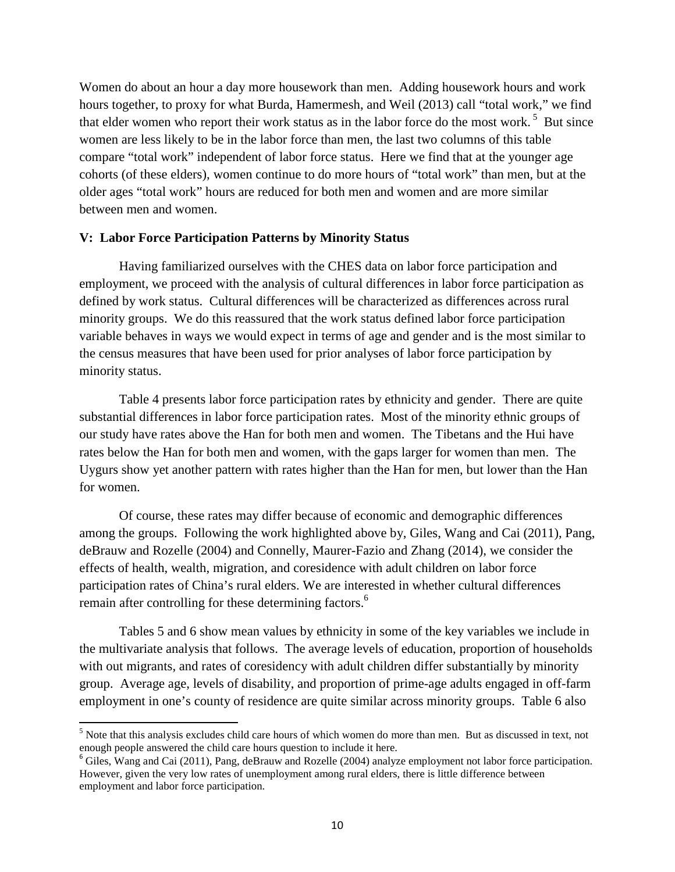Women do about an hour a day more housework than men. Adding housework hours and work hours together, to proxy for what Burda, Hamermesh, and Weil (2013) call "total work," we find that elder women who report their work status as in the labor force do the most work.<sup>5</sup> But since women are less likely to be in the labor force than men, the last two columns of this table compare "total work" independent of labor force status. Here we find that at the younger age cohorts (of these elders), women continue to do more hours of "total work" than men, but at the older ages "total work" hours are reduced for both men and women and are more similar between men and women.

### **V: Labor Force Participation Patterns by Minority Status**

 Having familiarized ourselves with the CHES data on labor force participation and employment, we proceed with the analysis of cultural differences in labor force participation as defined by work status. Cultural differences will be characterized as differences across rural minority groups. We do this reassured that the work status defined labor force participation variable behaves in ways we would expect in terms of age and gender and is the most similar to the census measures that have been used for prior analyses of labor force participation by minority status.

Table 4 presents labor force participation rates by ethnicity and gender. There are quite substantial differences in labor force participation rates. Most of the minority ethnic groups of our study have rates above the Han for both men and women. The Tibetans and the Hui have rates below the Han for both men and women, with the gaps larger for women than men. The Uygurs show yet another pattern with rates higher than the Han for men, but lower than the Han for women.

Of course, these rates may differ because of economic and demographic differences among the groups. Following the work highlighted above by, Giles, Wang and Cai (2011), Pang, deBrauw and Rozelle (2004) and Connelly, Maurer-Fazio and Zhang (2014), we consider the effects of health, wealth, migration, and coresidence with adult children on labor force participation rates of China's rural elders. We are interested in whether cultural differences remain after controlling for these determining factors.<sup>6</sup>

Tables 5 and 6 show mean values by ethnicity in some of the key variables we include in the multivariate analysis that follows. The average levels of education, proportion of households with out migrants, and rates of coresidency with adult children differ substantially by minority group. Average age, levels of disability, and proportion of prime-age adults engaged in off-farm employment in one's county of residence are quite similar across minority groups. Table 6 also

<u>.</u>

<sup>&</sup>lt;sup>5</sup> Note that this analysis excludes child care hours of which women do more than men. But as discussed in text, not enough people answered the child care hours question to include it here.

 $6$  Giles, Wang and Cai (2011), Pang, deBrauw and Rozelle (2004) analyze employment not labor force participation. However, given the very low rates of unemployment among rural elders, there is little difference between employment and labor force participation.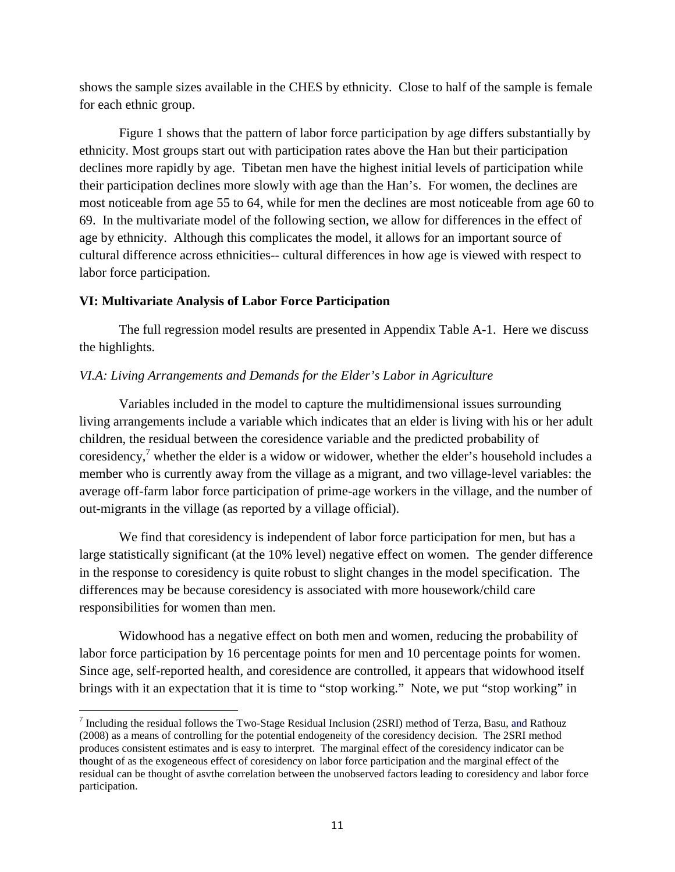shows the sample sizes available in the CHES by ethnicity. Close to half of the sample is female for each ethnic group.

 Figure 1 shows that the pattern of labor force participation by age differs substantially by ethnicity. Most groups start out with participation rates above the Han but their participation declines more rapidly by age. Tibetan men have the highest initial levels of participation while their participation declines more slowly with age than the Han's. For women, the declines are most noticeable from age 55 to 64, while for men the declines are most noticeable from age 60 to 69. In the multivariate model of the following section, we allow for differences in the effect of age by ethnicity. Although this complicates the model, it allows for an important source of cultural difference across ethnicities-- cultural differences in how age is viewed with respect to labor force participation.

## **VI: Multivariate Analysis of Labor Force Participation**

<u>.</u>

 The full regression model results are presented in Appendix Table A-1. Here we discuss the highlights.

## *VI.A: Living Arrangements and Demands for the Elder's Labor in Agriculture*

Variables included in the model to capture the multidimensional issues surrounding living arrangements include a variable which indicates that an elder is living with his or her adult children, the residual between the coresidence variable and the predicted probability of coresidency,<sup>7</sup> whether the elder is a widow or widower, whether the elder's household includes a member who is currently away from the village as a migrant, and two village-level variables: the average off-farm labor force participation of prime-age workers in the village, and the number of out-migrants in the village (as reported by a village official).

We find that coresidency is independent of labor force participation for men, but has a large statistically significant (at the 10% level) negative effect on women. The gender difference in the response to coresidency is quite robust to slight changes in the model specification. The differences may be because coresidency is associated with more housework/child care responsibilities for women than men.

Widowhood has a negative effect on both men and women, reducing the probability of labor force participation by 16 percentage points for men and 10 percentage points for women. Since age, self-reported health, and coresidence are controlled, it appears that widowhood itself brings with it an expectation that it is time to "stop working." Note, we put "stop working" in

 $^7$  Including the residual follows the Two-Stage Residual Inclusion (2SRI) method of Terza, Basu, and Rathouz (2008) as a means of controlling for the potential endogeneity of the coresidency decision. The 2SRI method produces consistent estimates and is easy to interpret. The marginal effect of the coresidency indicator can be thought of as the exogeneous effect of coresidency on labor force participation and the marginal effect of the residual can be thought of asvthe correlation between the unobserved factors leading to coresidency and labor force participation.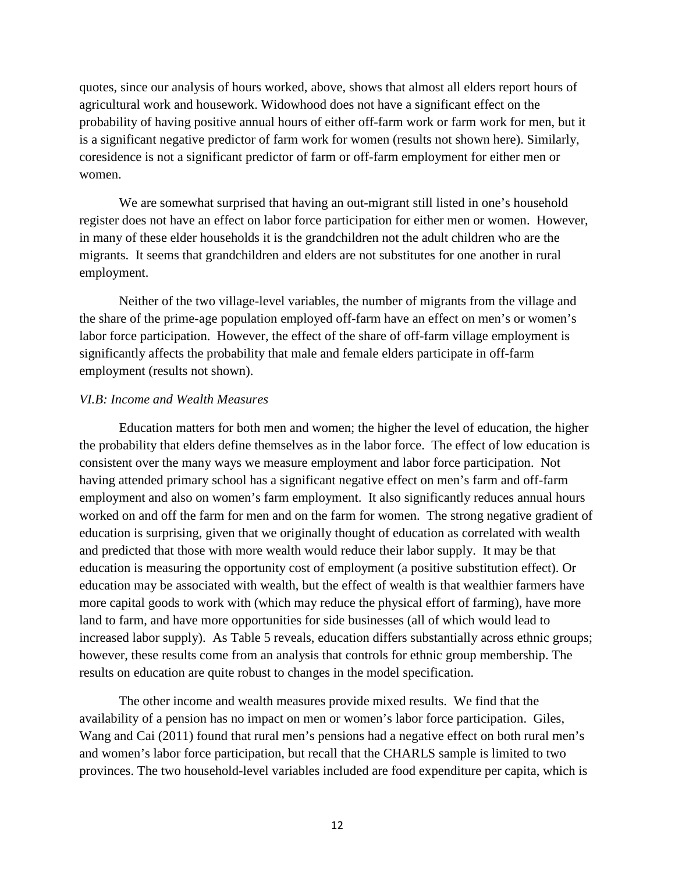quotes, since our analysis of hours worked, above, shows that almost all elders report hours of agricultural work and housework. Widowhood does not have a significant effect on the probability of having positive annual hours of either off-farm work or farm work for men, but it is a significant negative predictor of farm work for women (results not shown here). Similarly, coresidence is not a significant predictor of farm or off-farm employment for either men or women.

We are somewhat surprised that having an out-migrant still listed in one's household register does not have an effect on labor force participation for either men or women. However, in many of these elder households it is the grandchildren not the adult children who are the migrants. It seems that grandchildren and elders are not substitutes for one another in rural employment.

Neither of the two village-level variables, the number of migrants from the village and the share of the prime-age population employed off-farm have an effect on men's or women's labor force participation. However, the effect of the share of off-farm village employment is significantly affects the probability that male and female elders participate in off-farm employment (results not shown).

### *VI.B: Income and Wealth Measures*

Education matters for both men and women; the higher the level of education, the higher the probability that elders define themselves as in the labor force. The effect of low education is consistent over the many ways we measure employment and labor force participation. Not having attended primary school has a significant negative effect on men's farm and off-farm employment and also on women's farm employment. It also significantly reduces annual hours worked on and off the farm for men and on the farm for women. The strong negative gradient of education is surprising, given that we originally thought of education as correlated with wealth and predicted that those with more wealth would reduce their labor supply. It may be that education is measuring the opportunity cost of employment (a positive substitution effect). Or education may be associated with wealth, but the effect of wealth is that wealthier farmers have more capital goods to work with (which may reduce the physical effort of farming), have more land to farm, and have more opportunities for side businesses (all of which would lead to increased labor supply). As Table 5 reveals, education differs substantially across ethnic groups; however, these results come from an analysis that controls for ethnic group membership. The results on education are quite robust to changes in the model specification.

The other income and wealth measures provide mixed results. We find that the availability of a pension has no impact on men or women's labor force participation. Giles, Wang and Cai (2011) found that rural men's pensions had a negative effect on both rural men's and women's labor force participation, but recall that the CHARLS sample is limited to two provinces. The two household-level variables included are food expenditure per capita, which is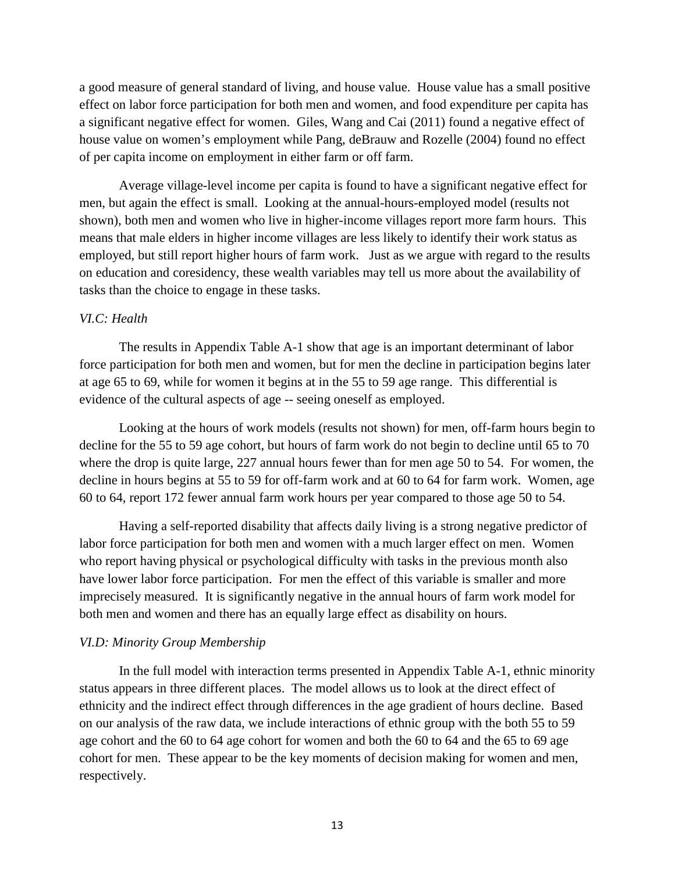a good measure of general standard of living, and house value. House value has a small positive effect on labor force participation for both men and women, and food expenditure per capita has a significant negative effect for women. Giles, Wang and Cai (2011) found a negative effect of house value on women's employment while Pang, deBrauw and Rozelle (2004) found no effect of per capita income on employment in either farm or off farm.

 Average village-level income per capita is found to have a significant negative effect for men, but again the effect is small. Looking at the annual-hours-employed model (results not shown), both men and women who live in higher-income villages report more farm hours. This means that male elders in higher income villages are less likely to identify their work status as employed, but still report higher hours of farm work. Just as we argue with regard to the results on education and coresidency, these wealth variables may tell us more about the availability of tasks than the choice to engage in these tasks.

### *VI.C: Health*

The results in Appendix Table A-1 show that age is an important determinant of labor force participation for both men and women, but for men the decline in participation begins later at age 65 to 69, while for women it begins at in the 55 to 59 age range. This differential is evidence of the cultural aspects of age -- seeing oneself as employed.

Looking at the hours of work models (results not shown) for men, off-farm hours begin to decline for the 55 to 59 age cohort, but hours of farm work do not begin to decline until 65 to 70 where the drop is quite large, 227 annual hours fewer than for men age 50 to 54. For women, the decline in hours begins at 55 to 59 for off-farm work and at 60 to 64 for farm work. Women, age 60 to 64, report 172 fewer annual farm work hours per year compared to those age 50 to 54.

Having a self-reported disability that affects daily living is a strong negative predictor of labor force participation for both men and women with a much larger effect on men. Women who report having physical or psychological difficulty with tasks in the previous month also have lower labor force participation. For men the effect of this variable is smaller and more imprecisely measured. It is significantly negative in the annual hours of farm work model for both men and women and there has an equally large effect as disability on hours.

### *VI.D: Minority Group Membership*

 In the full model with interaction terms presented in Appendix Table A-1, ethnic minority status appears in three different places. The model allows us to look at the direct effect of ethnicity and the indirect effect through differences in the age gradient of hours decline. Based on our analysis of the raw data, we include interactions of ethnic group with the both 55 to 59 age cohort and the 60 to 64 age cohort for women and both the 60 to 64 and the 65 to 69 age cohort for men. These appear to be the key moments of decision making for women and men, respectively.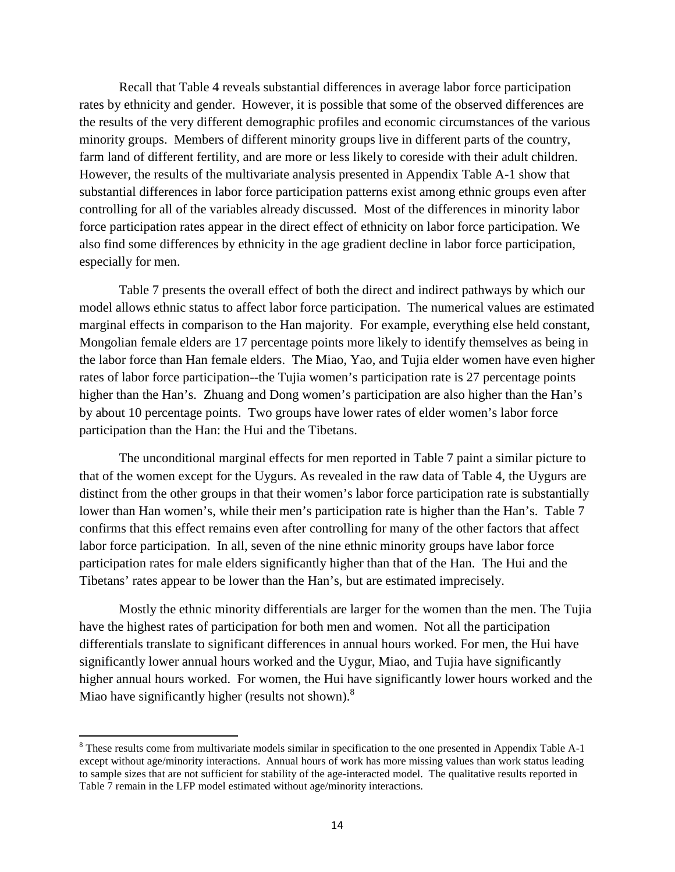Recall that Table 4 reveals substantial differences in average labor force participation rates by ethnicity and gender. However, it is possible that some of the observed differences are the results of the very different demographic profiles and economic circumstances of the various minority groups. Members of different minority groups live in different parts of the country, farm land of different fertility, and are more or less likely to coreside with their adult children. However, the results of the multivariate analysis presented in Appendix Table A-1 show that substantial differences in labor force participation patterns exist among ethnic groups even after controlling for all of the variables already discussed. Most of the differences in minority labor force participation rates appear in the direct effect of ethnicity on labor force participation. We also find some differences by ethnicity in the age gradient decline in labor force participation, especially for men.

 Table 7 presents the overall effect of both the direct and indirect pathways by which our model allows ethnic status to affect labor force participation. The numerical values are estimated marginal effects in comparison to the Han majority. For example, everything else held constant, Mongolian female elders are 17 percentage points more likely to identify themselves as being in the labor force than Han female elders. The Miao, Yao, and Tujia elder women have even higher rates of labor force participation--the Tujia women's participation rate is 27 percentage points higher than the Han's. Zhuang and Dong women's participation are also higher than the Han's by about 10 percentage points. Two groups have lower rates of elder women's labor force participation than the Han: the Hui and the Tibetans.

 The unconditional marginal effects for men reported in Table 7 paint a similar picture to that of the women except for the Uygurs. As revealed in the raw data of Table 4, the Uygurs are distinct from the other groups in that their women's labor force participation rate is substantially lower than Han women's, while their men's participation rate is higher than the Han's. Table 7 confirms that this effect remains even after controlling for many of the other factors that affect labor force participation. In all, seven of the nine ethnic minority groups have labor force participation rates for male elders significantly higher than that of the Han. The Hui and the Tibetans' rates appear to be lower than the Han's, but are estimated imprecisely.

 Mostly the ethnic minority differentials are larger for the women than the men. The Tujia have the highest rates of participation for both men and women. Not all the participation differentials translate to significant differences in annual hours worked. For men, the Hui have significantly lower annual hours worked and the Uygur, Miao, and Tujia have significantly higher annual hours worked. For women, the Hui have significantly lower hours worked and the Miao have significantly higher (results not shown). $8$ 

-

<sup>&</sup>lt;sup>8</sup> These results come from multivariate models similar in specification to the one presented in Appendix Table A-1 except without age/minority interactions. Annual hours of work has more missing values than work status leading to sample sizes that are not sufficient for stability of the age-interacted model. The qualitative results reported in Table 7 remain in the LFP model estimated without age/minority interactions.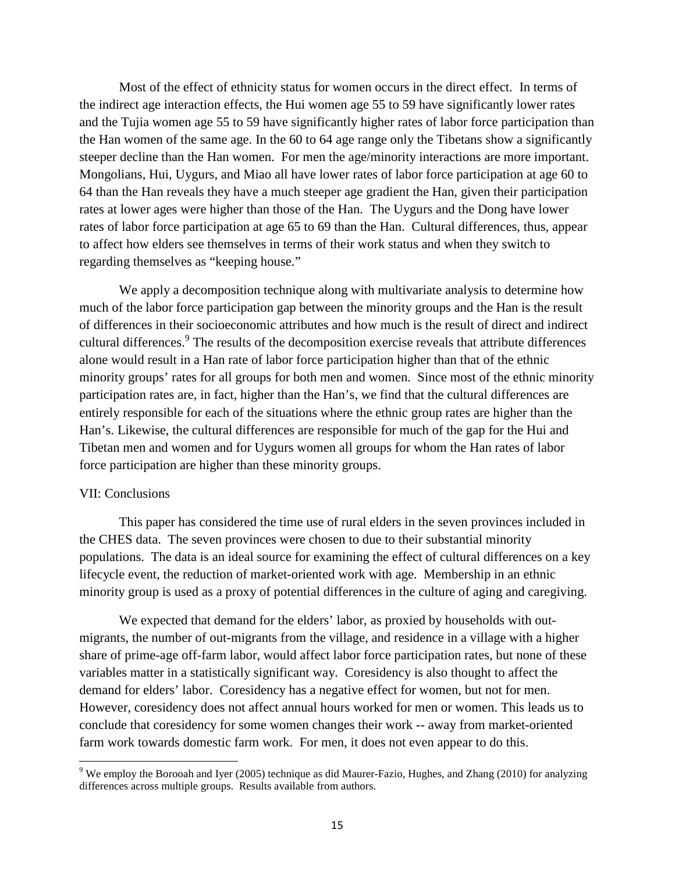Most of the effect of ethnicity status for women occurs in the direct effect. In terms of the indirect age interaction effects, the Hui women age 55 to 59 have significantly lower rates and the Tujia women age 55 to 59 have significantly higher rates of labor force participation than the Han women of the same age. In the 60 to 64 age range only the Tibetans show a significantly steeper decline than the Han women. For men the age/minority interactions are more important. Mongolians, Hui, Uygurs, and Miao all have lower rates of labor force participation at age 60 to 64 than the Han reveals they have a much steeper age gradient the Han, given their participation rates at lower ages were higher than those of the Han. The Uygurs and the Dong have lower rates of labor force participation at age 65 to 69 than the Han. Cultural differences, thus, appear to affect how elders see themselves in terms of their work status and when they switch to regarding themselves as "keeping house."

 We apply a decomposition technique along with multivariate analysis to determine how much of the labor force participation gap between the minority groups and the Han is the result of differences in their socioeconomic attributes and how much is the result of direct and indirect cultural differences.<sup>9</sup> The results of the decomposition exercise reveals that attribute differences alone would result in a Han rate of labor force participation higher than that of the ethnic minority groups' rates for all groups for both men and women. Since most of the ethnic minority participation rates are, in fact, higher than the Han's, we find that the cultural differences are entirely responsible for each of the situations where the ethnic group rates are higher than the Han's. Likewise, the cultural differences are responsible for much of the gap for the Hui and Tibetan men and women and for Uygurs women all groups for whom the Han rates of labor force participation are higher than these minority groups.

### VII: Conclusions

-

 This paper has considered the time use of rural elders in the seven provinces included in the CHES data. The seven provinces were chosen to due to their substantial minority populations. The data is an ideal source for examining the effect of cultural differences on a key lifecycle event, the reduction of market-oriented work with age. Membership in an ethnic minority group is used as a proxy of potential differences in the culture of aging and caregiving.

We expected that demand for the elders' labor, as proxied by households with outmigrants, the number of out-migrants from the village, and residence in a village with a higher share of prime-age off-farm labor, would affect labor force participation rates, but none of these variables matter in a statistically significant way. Coresidency is also thought to affect the demand for elders' labor. Coresidency has a negative effect for women, but not for men. However, coresidency does not affect annual hours worked for men or women. This leads us to conclude that coresidency for some women changes their work -- away from market-oriented farm work towards domestic farm work. For men, it does not even appear to do this.

<sup>&</sup>lt;sup>9</sup> We employ the Borooah and Iyer (2005) technique as did Maurer-Fazio, Hughes, and Zhang (2010) for analyzing differences across multiple groups. Results available from authors.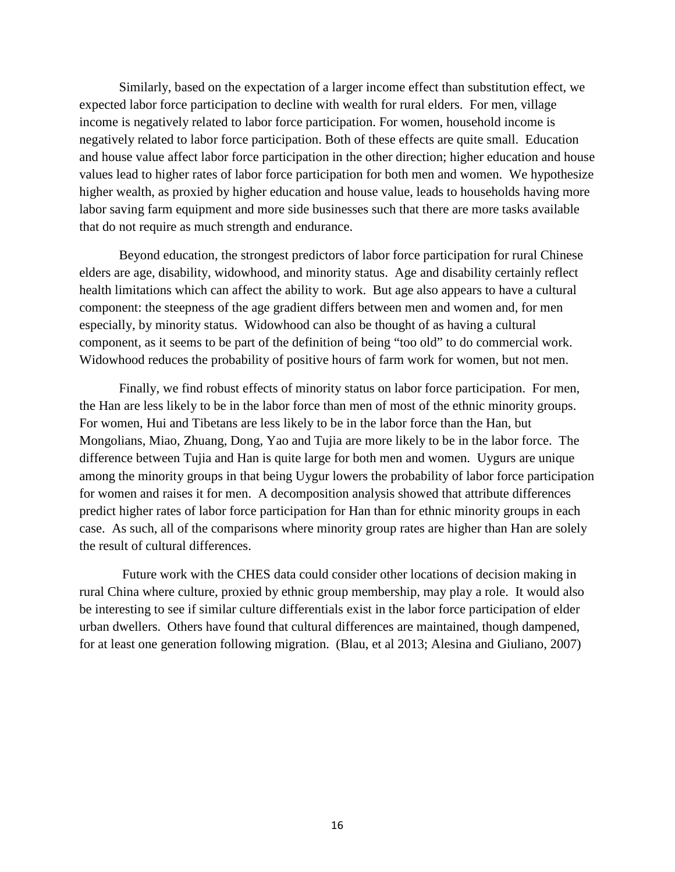Similarly, based on the expectation of a larger income effect than substitution effect, we expected labor force participation to decline with wealth for rural elders. For men, village income is negatively related to labor force participation. For women, household income is negatively related to labor force participation. Both of these effects are quite small. Education and house value affect labor force participation in the other direction; higher education and house values lead to higher rates of labor force participation for both men and women. We hypothesize higher wealth, as proxied by higher education and house value, leads to households having more labor saving farm equipment and more side businesses such that there are more tasks available that do not require as much strength and endurance.

 Beyond education, the strongest predictors of labor force participation for rural Chinese elders are age, disability, widowhood, and minority status. Age and disability certainly reflect health limitations which can affect the ability to work. But age also appears to have a cultural component: the steepness of the age gradient differs between men and women and, for men especially, by minority status. Widowhood can also be thought of as having a cultural component, as it seems to be part of the definition of being "too old" to do commercial work. Widowhood reduces the probability of positive hours of farm work for women, but not men.

 Finally, we find robust effects of minority status on labor force participation. For men, the Han are less likely to be in the labor force than men of most of the ethnic minority groups. For women, Hui and Tibetans are less likely to be in the labor force than the Han, but Mongolians, Miao, Zhuang, Dong, Yao and Tujia are more likely to be in the labor force. The difference between Tujia and Han is quite large for both men and women. Uygurs are unique among the minority groups in that being Uygur lowers the probability of labor force participation for women and raises it for men. A decomposition analysis showed that attribute differences predict higher rates of labor force participation for Han than for ethnic minority groups in each case. As such, all of the comparisons where minority group rates are higher than Han are solely the result of cultural differences.

 Future work with the CHES data could consider other locations of decision making in rural China where culture, proxied by ethnic group membership, may play a role. It would also be interesting to see if similar culture differentials exist in the labor force participation of elder urban dwellers. Others have found that cultural differences are maintained, though dampened, for at least one generation following migration. (Blau, et al 2013; Alesina and Giuliano, 2007)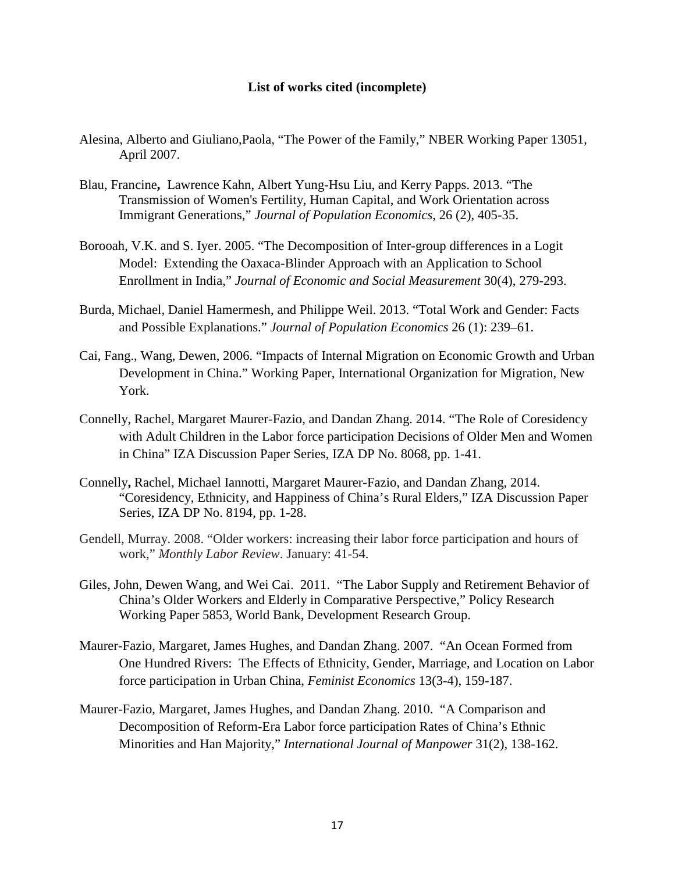### **List of works cited (incomplete)**

- Alesina, Alberto and Giuliano,Paola, "The Power of the Family," NBER Working Paper 13051, April 2007.
- Blau, Francine**,** Lawrence Kahn, Albert Yung-Hsu Liu, and Kerry Papps. 2013. "The Transmission of Women's Fertility, Human Capital, and Work Orientation across Immigrant Generations," *Journal of Population Economics*, 26 (2), 405-35.
- Borooah, V.K. and S. Iyer. 2005. "The Decomposition of Inter-group differences in a Logit Model: Extending the Oaxaca-Blinder Approach with an Application to School Enrollment in India," *Journal of Economic and Social Measurement* 30(4), 279-293.
- Burda, Michael, Daniel Hamermesh, and Philippe Weil. 2013. "Total Work and Gender: Facts and Possible Explanations." *Journal of Population Economics* 26 (1): 239–61.
- Cai, Fang., Wang, Dewen, 2006. "Impacts of Internal Migration on Economic Growth and Urban Development in China." Working Paper, International Organization for Migration, New York.
- Connelly, Rachel, Margaret Maurer-Fazio, and Dandan Zhang. 2014. "The Role of Coresidency with Adult Children in the Labor force participation Decisions of Older Men and Women in China" IZA Discussion Paper Series, IZA DP No. 8068, pp. 1-41.
- Connelly**,** Rachel, Michael Iannotti, Margaret Maurer-Fazio, and Dandan Zhang, 2014. "Coresidency, Ethnicity, and Happiness of China's Rural Elders," IZA Discussion Paper Series, IZA DP No. 8194, pp. 1-28.
- Gendell, Murray. 2008. "Older workers: increasing their labor force participation and hours of work," *Monthly Labor Review*. January: 41-54.
- Giles, John, Dewen Wang, and Wei Cai. 2011. "The Labor Supply and Retirement Behavior of China's Older Workers and Elderly in Comparative Perspective," Policy Research Working Paper 5853, World Bank, Development Research Group.
- Maurer-Fazio, Margaret, James Hughes, and Dandan Zhang. 2007. "An Ocean Formed from One Hundred Rivers: The Effects of Ethnicity, Gender, Marriage, and Location on Labor force participation in Urban China, *Feminist Economics* 13(3-4), 159-187.
- Maurer-Fazio, Margaret, James Hughes, and Dandan Zhang. 2010. "A Comparison and Decomposition of Reform-Era Labor force participation Rates of China's Ethnic Minorities and Han Majority," *International Journal of Manpower* 31(2), 138-162.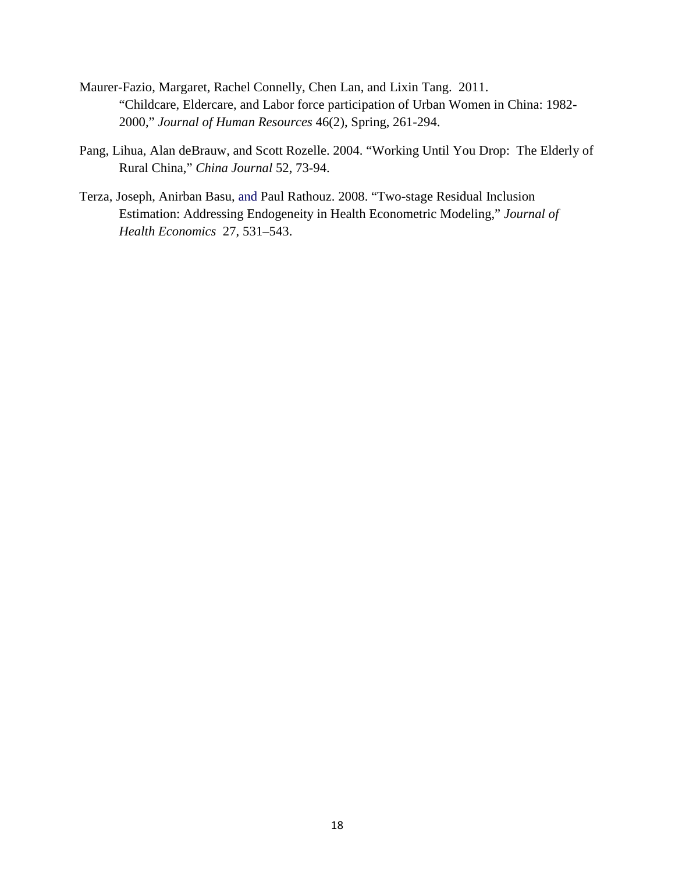- Maurer-Fazio, Margaret, Rachel Connelly, Chen Lan, and Lixin Tang. 2011. "Childcare, Eldercare, and Labor force participation of Urban Women in China: 1982- 2000," *Journal of Human Resources* 46(2), Spring, 261-294.
- Pang, Lihua, Alan deBrauw, and Scott Rozelle. 2004. "Working Until You Drop: The Elderly of Rural China," *China Journal* 52, 73-94.
- Terza, Joseph, Anirban Basu, and Paul Rathouz. 2008. "Two-stage Residual Inclusion Estimation: Addressing Endogeneity in Health Econometric Modeling," *Journal of Health Economics* 27, 531–543.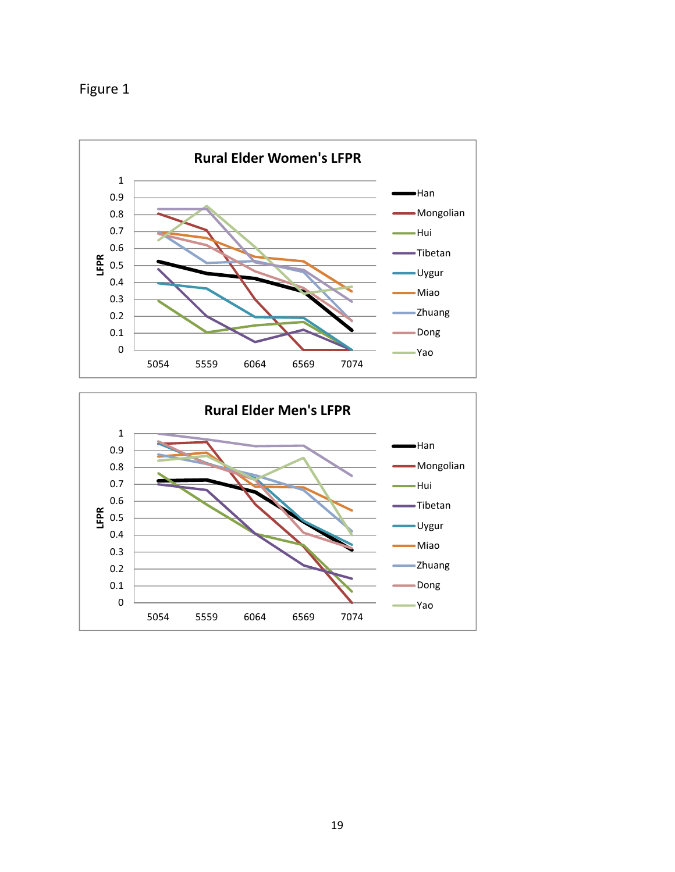



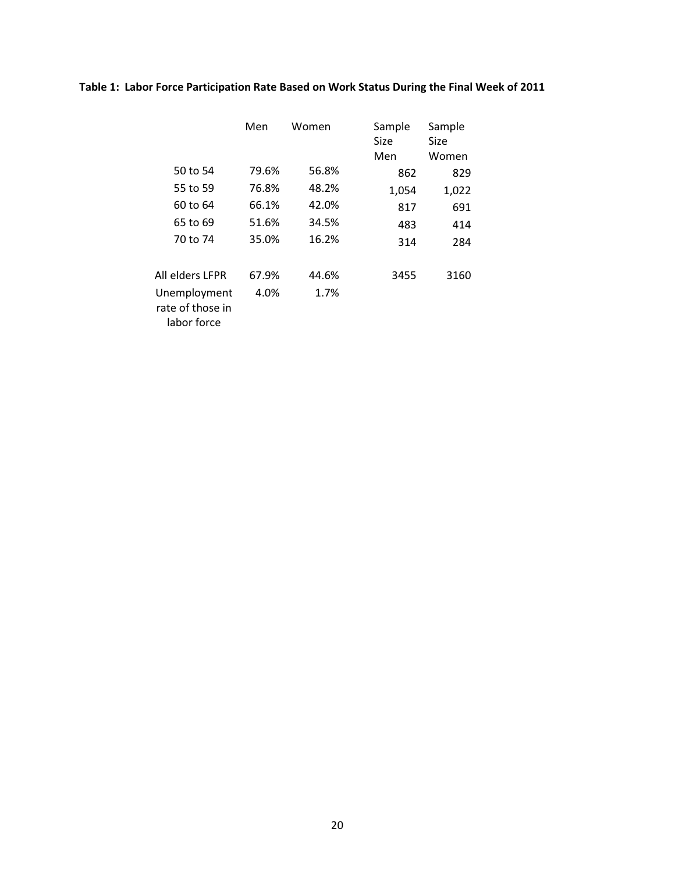# Table 1: Labor Force Participation Rate Based on Work Status During the Final Week of 2011

|                                                 | Men   | Women | Sample<br>Size.<br>Men | Sample<br>Size<br>Women |
|-------------------------------------------------|-------|-------|------------------------|-------------------------|
| 50 to 54                                        | 79.6% | 56.8% | 862                    | 829                     |
| 55 to 59                                        | 76.8% | 48.2% | 1,054                  | 1,022                   |
| 60 to 64                                        | 66.1% | 42.0% | 817                    | 691                     |
| 65 to 69                                        | 51.6% | 34.5% | 483                    | 414                     |
| 70 to 74                                        | 35.0% | 16.2% | 314                    | 284                     |
| All elders LFPR                                 | 67.9% | 44.6% | 3455                   | 3160                    |
| Unemployment<br>rate of those in<br>labor force | 4.0%  | 1.7%  |                        |                         |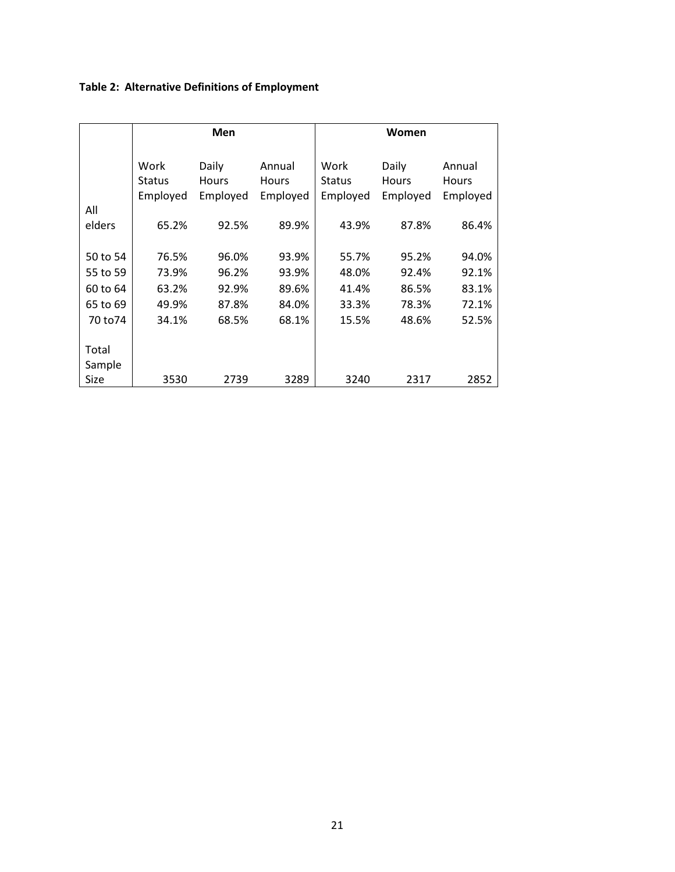# Table 2: Alternative Definitions of Employment

|               | <b>Men</b>                        |                            |                             | Women                             |                            |                                    |  |
|---------------|-----------------------------------|----------------------------|-----------------------------|-----------------------------------|----------------------------|------------------------------------|--|
|               | Work<br><b>Status</b><br>Employed | Daily<br>Hours<br>Employed | Annual<br>Hours<br>Employed | Work<br><b>Status</b><br>Employed | Daily<br>Hours<br>Employed | Annual<br><b>Hours</b><br>Employed |  |
| All<br>elders | 65.2%                             | 92.5%                      | 89.9%                       | 43.9%                             | 87.8%                      | 86.4%                              |  |
|               |                                   |                            |                             |                                   |                            |                                    |  |
| 50 to 54      | 76.5%                             | 96.0%                      | 93.9%                       | 55.7%                             | 95.2%                      | 94.0%                              |  |
| 55 to 59      | 73.9%                             | 96.2%                      | 93.9%                       | 48.0%                             | 92.4%                      | 92.1%                              |  |
| 60 to 64      | 63.2%                             | 92.9%                      | 89.6%                       | 41.4%                             | 86.5%                      | 83.1%                              |  |
| 65 to 69      | 49.9%                             | 87.8%                      | 84.0%                       | 33.3%                             | 78.3%                      | 72.1%                              |  |
| 70 to 74      | 34.1%                             | 68.5%                      | 68.1%                       | 15.5%                             | 48.6%                      | 52.5%                              |  |
|               |                                   |                            |                             |                                   |                            |                                    |  |
| Total         |                                   |                            |                             |                                   |                            |                                    |  |
| Sample        |                                   |                            |                             |                                   |                            |                                    |  |
| Size          | 3530                              | 2739                       | 3289                        | 3240                              | 2317                       | 2852                               |  |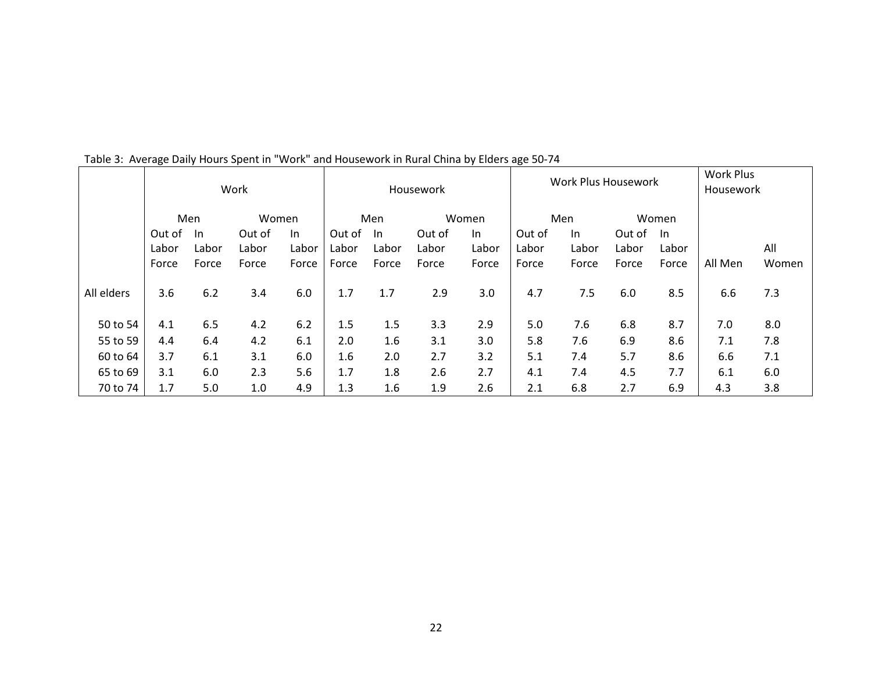|            | ັ      |       | Work   |       | Housework |       | $\cdot$ | ັ<br><b>Work Plus Housework</b> |        |       | <b>Work Plus</b><br>Housework |       |         |       |
|------------|--------|-------|--------|-------|-----------|-------|---------|---------------------------------|--------|-------|-------------------------------|-------|---------|-------|
|            |        | Men   | Women  |       |           | Men   |         | Women                           |        | Men   |                               | Women |         |       |
|            | Out of | -In   | Out of | In.   | Out of    | -In   | Out of  | In                              | Out of | In.   | Out of                        | - In  |         |       |
|            | Labor  | Labor | Labor  | Labor | Labor     | Labor | Labor   | Labor                           | Labor  | Labor | Labor                         | Labor |         | All   |
|            | Force  | Force | Force  | Force | Force     | Force | Force   | Force                           | Force  | Force | Force                         | Force | All Men | Women |
| All elders | 3.6    | 6.2   | 3.4    | 6.0   | 1.7       | 1.7   | 2.9     | 3.0                             | 4.7    | 7.5   | 6.0                           | 8.5   | 6.6     | 7.3   |
| 50 to 54   | 4.1    | 6.5   | 4.2    | 6.2   | 1.5       | 1.5   | 3.3     | 2.9                             | 5.0    | 7.6   | 6.8                           | 8.7   | 7.0     | 8.0   |
| 55 to 59   | 4.4    | 6.4   | 4.2    | 6.1   | 2.0       | 1.6   | 3.1     | 3.0                             | 5.8    | 7.6   | 6.9                           | 8.6   | 7.1     | 7.8   |
| 60 to 64   | 3.7    | 6.1   | 3.1    | 6.0   | 1.6       | 2.0   | 2.7     | 3.2                             | 5.1    | 7.4   | 5.7                           | 8.6   | 6.6     | 7.1   |
| 65 to 69   | 3.1    | 6.0   | 2.3    | 5.6   | 1.7       | 1.8   | 2.6     | 2.7                             | 4.1    | 7.4   | 4.5                           | 7.7   | 6.1     | 6.0   |
| 70 to 74   | 1.7    | 5.0   | 1.0    | 4.9   | 1.3       | 1.6   | 1.9     | 2.6                             | 2.1    | 6.8   | 2.7                           | 6.9   | 4.3     | 3.8   |

Table 3: Average Daily Hours Spent in "Work" and Housework in Rural China by Elders age 50-74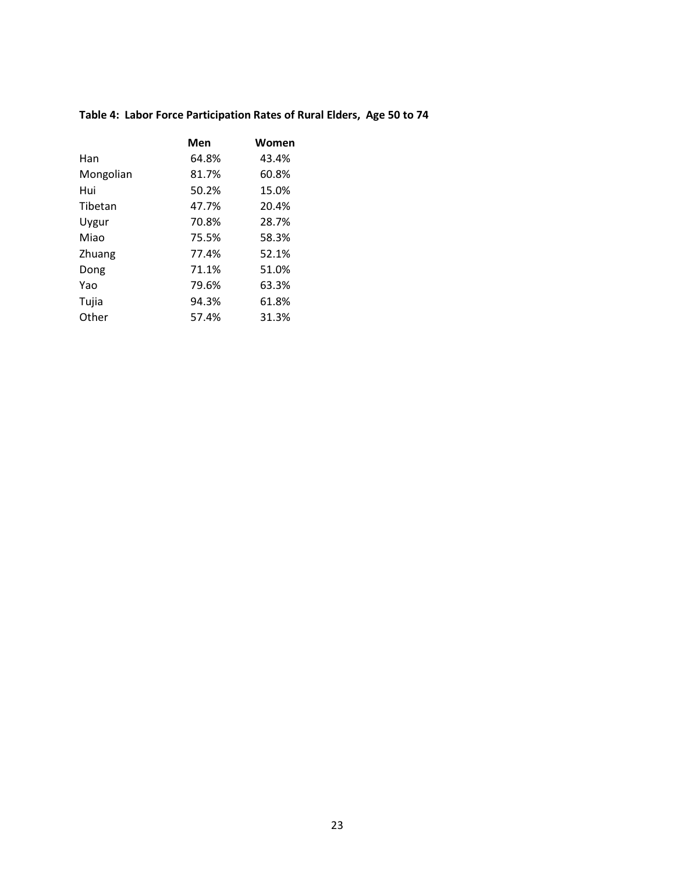# Table 4: Labor Force Participation Rates of Rural Elders, Age 50 to 74

|           | Men   | Women |
|-----------|-------|-------|
| Han       | 64.8% | 43.4% |
| Mongolian | 81.7% | 60.8% |
| Hui       | 50.2% | 15.0% |
| Tibetan   | 47.7% | 20.4% |
| Uygur     | 70.8% | 28.7% |
| Miao      | 75.5% | 58.3% |
| Zhuang    | 77.4% | 52.1% |
| Dong      | 71.1% | 51.0% |
| Yao       | 79.6% | 63.3% |
| Tujia     | 94.3% | 61.8% |
| Other     | 57.4% | 31.3% |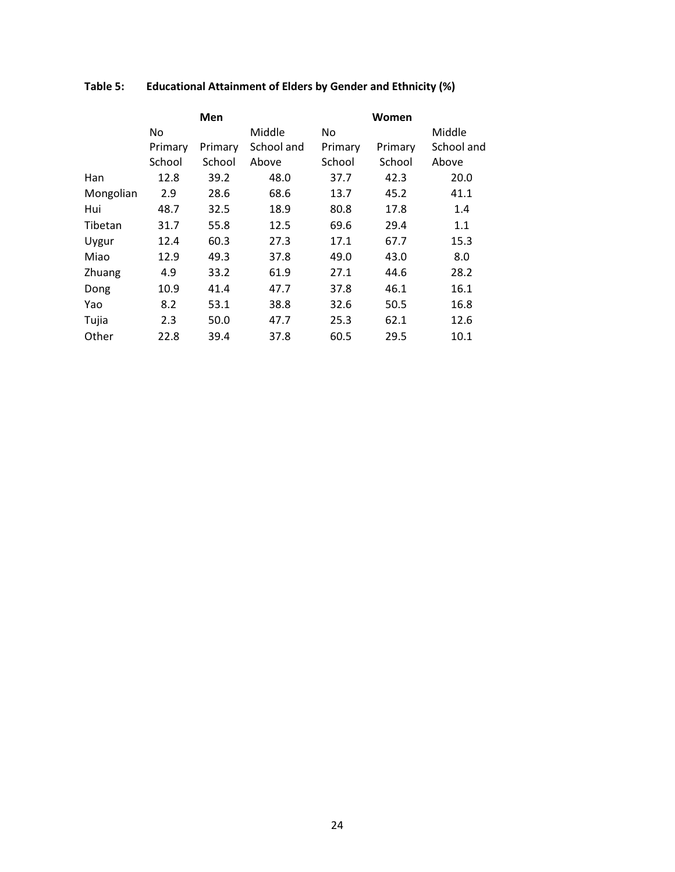|           |         | Men     |            |         | Women   |            |
|-----------|---------|---------|------------|---------|---------|------------|
|           | No      |         | Middle     | No      |         | Middle     |
|           | Primary | Primary | School and | Primary | Primary | School and |
|           | School  | School  | Above      | School  | School  | Above      |
| Han       | 12.8    | 39.2    | 48.0       | 37.7    | 42.3    | 20.0       |
| Mongolian | 2.9     | 28.6    | 68.6       | 13.7    | 45.2    | 41.1       |
| Hui       | 48.7    | 32.5    | 18.9       | 80.8    | 17.8    | 1.4        |
| Tibetan   | 31.7    | 55.8    | 12.5       | 69.6    | 29.4    | 1.1        |
| Uygur     | 12.4    | 60.3    | 27.3       | 17.1    | 67.7    | 15.3       |
| Miao      | 12.9    | 49.3    | 37.8       | 49.0    | 43.0    | 8.0        |
| Zhuang    | 4.9     | 33.2    | 61.9       | 27.1    | 44.6    | 28.2       |
| Dong      | 10.9    | 41.4    | 47.7       | 37.8    | 46.1    | 16.1       |
| Yao       | 8.2     | 53.1    | 38.8       | 32.6    | 50.5    | 16.8       |
| Tujia     | 2.3     | 50.0    | 47.7       | 25.3    | 62.1    | 12.6       |
| Other     | 22.8    | 39.4    | 37.8       | 60.5    | 29.5    | 10.1       |

# Table 5: Educational Attainment of Elders by Gender and Ethnicity (%)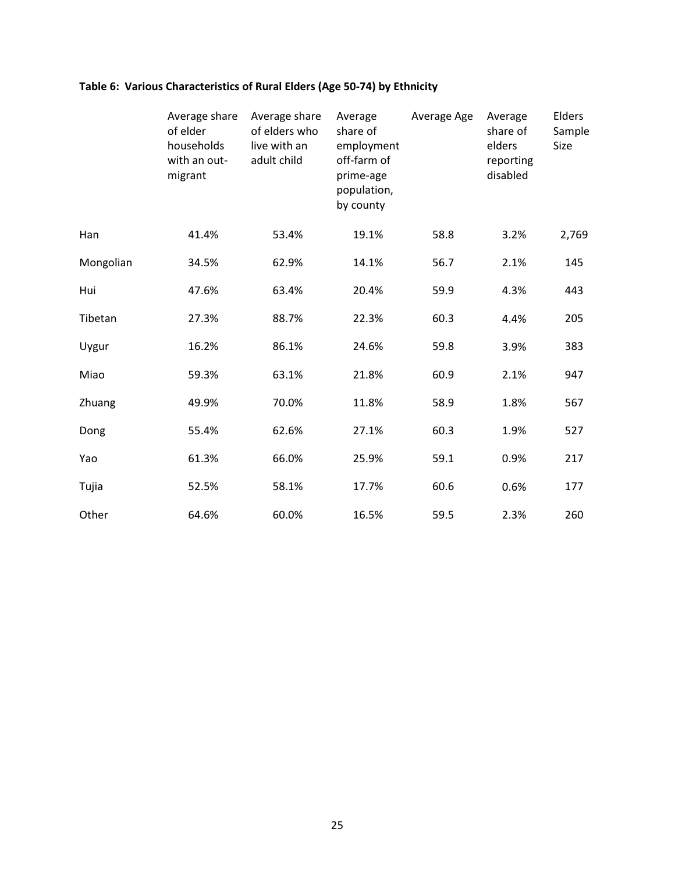# Table 6: Various Characteristics of Rural Elders (Age 50-74) by Ethnicity

|           | Average share<br>of elder<br>households<br>with an out-<br>migrant | Average share<br>of elders who<br>live with an<br>adult child | Average<br>share of<br>employment<br>off-farm of<br>prime-age<br>population,<br>by county | Average Age | Average<br>share of<br>elders<br>reporting<br>disabled | Elders<br>Sample<br>Size |
|-----------|--------------------------------------------------------------------|---------------------------------------------------------------|-------------------------------------------------------------------------------------------|-------------|--------------------------------------------------------|--------------------------|
| Han       | 41.4%                                                              | 53.4%                                                         | 19.1%                                                                                     | 58.8        | 3.2%                                                   | 2,769                    |
| Mongolian | 34.5%                                                              | 62.9%                                                         | 14.1%                                                                                     | 56.7        | 2.1%                                                   | 145                      |
| Hui       | 47.6%                                                              | 63.4%                                                         | 20.4%                                                                                     | 59.9        | 4.3%                                                   | 443                      |
| Tibetan   | 27.3%                                                              | 88.7%                                                         | 22.3%                                                                                     | 60.3        | 4.4%                                                   | 205                      |
| Uygur     | 16.2%                                                              | 86.1%                                                         | 24.6%                                                                                     | 59.8        | 3.9%                                                   | 383                      |
| Miao      | 59.3%                                                              | 63.1%                                                         | 21.8%                                                                                     | 60.9        | 2.1%                                                   | 947                      |
| Zhuang    | 49.9%                                                              | 70.0%                                                         | 11.8%                                                                                     | 58.9        | 1.8%                                                   | 567                      |
| Dong      | 55.4%                                                              | 62.6%                                                         | 27.1%                                                                                     | 60.3        | 1.9%                                                   | 527                      |
| Yao       | 61.3%                                                              | 66.0%                                                         | 25.9%                                                                                     | 59.1        | 0.9%                                                   | 217                      |
| Tujia     | 52.5%                                                              | 58.1%                                                         | 17.7%                                                                                     | 60.6        | 0.6%                                                   | 177                      |
| Other     | 64.6%                                                              | 60.0%                                                         | 16.5%                                                                                     | 59.5        | 2.3%                                                   | 260                      |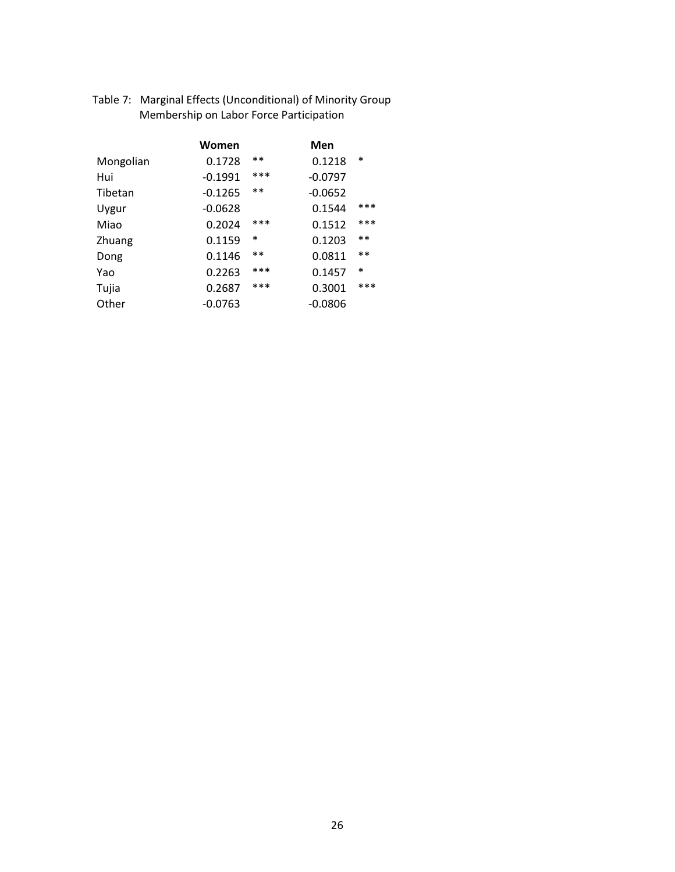|           | Women     |        | Men       |        |
|-----------|-----------|--------|-----------|--------|
| Mongolian | 0.1728    | $**$   | 0.1218    | $\ast$ |
| Hui       | $-0.1991$ | ***    | $-0.0797$ |        |
| Tibetan   | $-0.1265$ | $**$   | $-0.0652$ |        |
| Uygur     | $-0.0628$ |        | 0.1544    | ***    |
| Miao      | 0.2024    | ***    | 0.1512    | ***    |
| Zhuang    | 0.1159    | $\ast$ | 0.1203    | $**$   |
| Dong      | 0.1146    | $**$   | 0.0811    | $***$  |
| Yao       | 0.2263    | ***    | 0.1457    | $\ast$ |
| Tujia     | 0.2687    | ***    | 0.3001    | ***    |
| Other     | $-0.0763$ |        | $-0.0806$ |        |

Table 7: Marginal Effects (Unconditional) of Minority Group Membership on Labor Force Participation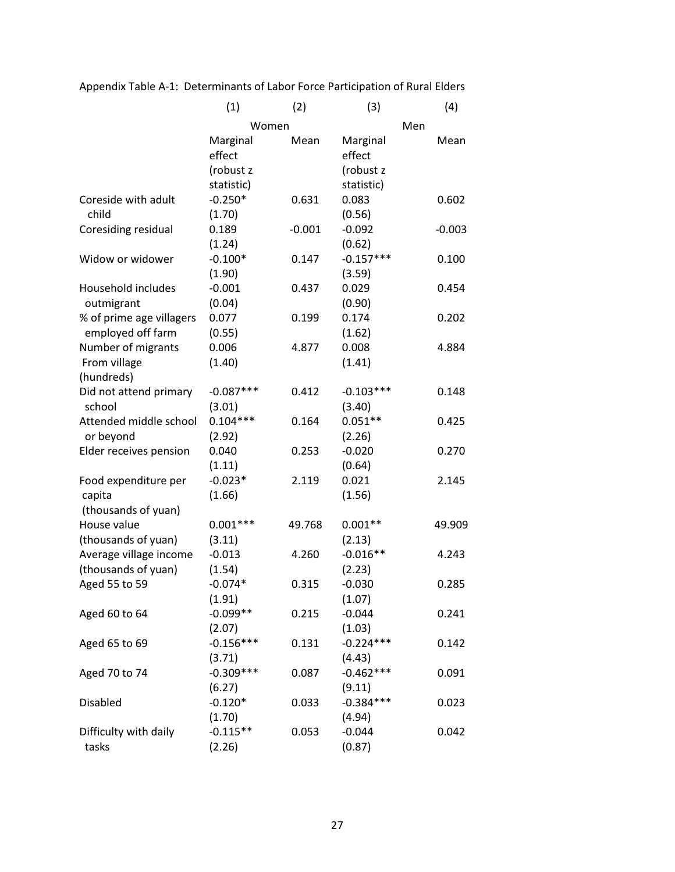|                          | (1)         | (2)      | (3)         |     | (4)      |
|--------------------------|-------------|----------|-------------|-----|----------|
|                          |             | Women    |             | Men |          |
|                          | Marginal    | Mean     | Marginal    |     | Mean     |
|                          | effect      |          | effect      |     |          |
|                          | (robust z   |          | (robust z   |     |          |
|                          | statistic)  |          | statistic)  |     |          |
| Coreside with adult      | $-0.250*$   | 0.631    | 0.083       |     | 0.602    |
| child                    | (1.70)      |          | (0.56)      |     |          |
| Coresiding residual      | 0.189       | $-0.001$ | $-0.092$    |     | $-0.003$ |
|                          | (1.24)      |          | (0.62)      |     |          |
| Widow or widower         | $-0.100*$   | 0.147    | $-0.157***$ |     | 0.100    |
|                          | (1.90)      |          | (3.59)      |     |          |
| Household includes       | $-0.001$    | 0.437    | 0.029       |     | 0.454    |
| outmigrant               | (0.04)      |          | (0.90)      |     |          |
| % of prime age villagers | 0.077       | 0.199    | 0.174       |     | 0.202    |
| employed off farm        | (0.55)      |          | (1.62)      |     |          |
| Number of migrants       | 0.006       | 4.877    | 0.008       |     | 4.884    |
| From village             | (1.40)      |          | (1.41)      |     |          |
| (hundreds)               |             |          |             |     |          |
| Did not attend primary   | $-0.087***$ | 0.412    | $-0.103***$ |     | 0.148    |
| school                   | (3.01)      |          | (3.40)      |     |          |
| Attended middle school   | $0.104***$  | 0.164    | $0.051**$   |     | 0.425    |
| or beyond                | (2.92)      |          | (2.26)      |     |          |
| Elder receives pension   | 0.040       | 0.253    | $-0.020$    |     | 0.270    |
|                          | (1.11)      |          | (0.64)      |     |          |
| Food expenditure per     | $-0.023*$   | 2.119    | 0.021       |     | 2.145    |
| capita                   | (1.66)      |          | (1.56)      |     |          |
| (thousands of yuan)      |             |          |             |     |          |
| House value              | $0.001***$  | 49.768   | $0.001**$   |     | 49.909   |
| (thousands of yuan)      | (3.11)      |          | (2.13)      |     |          |
| Average village income   | $-0.013$    | 4.260    | $-0.016**$  |     | 4.243    |
| (thousands of yuan)      | (1.54)      |          | (2.23)      |     |          |
| Aged 55 to 59            | $-0.074*$   | 0.315    | $-0.030$    |     | 0.285    |
|                          | (1.91)      |          | (1.07)      |     |          |
| Aged 60 to 64            | $-0.099**$  | 0.215    | $-0.044$    |     | 0.241    |
|                          | (2.07)      |          | (1.03)      |     |          |
| Aged 65 to 69            | $-0.156***$ | 0.131    | $-0.224***$ |     | 0.142    |
|                          | (3.71)      |          | (4.43)      |     |          |
| Aged 70 to 74            | $-0.309***$ | 0.087    | $-0.462***$ |     | 0.091    |
|                          | (6.27)      |          | (9.11)      |     |          |
| Disabled                 | $-0.120*$   | 0.033    | $-0.384***$ |     | 0.023    |
|                          | (1.70)      |          | (4.94)      |     |          |
| Difficulty with daily    | $-0.115**$  | 0.053    | $-0.044$    |     | 0.042    |
| tasks                    | (2.26)      |          | (0.87)      |     |          |
|                          |             |          |             |     |          |

Appendix Table A-1: Determinants of Labor Force Participation of Rural Elders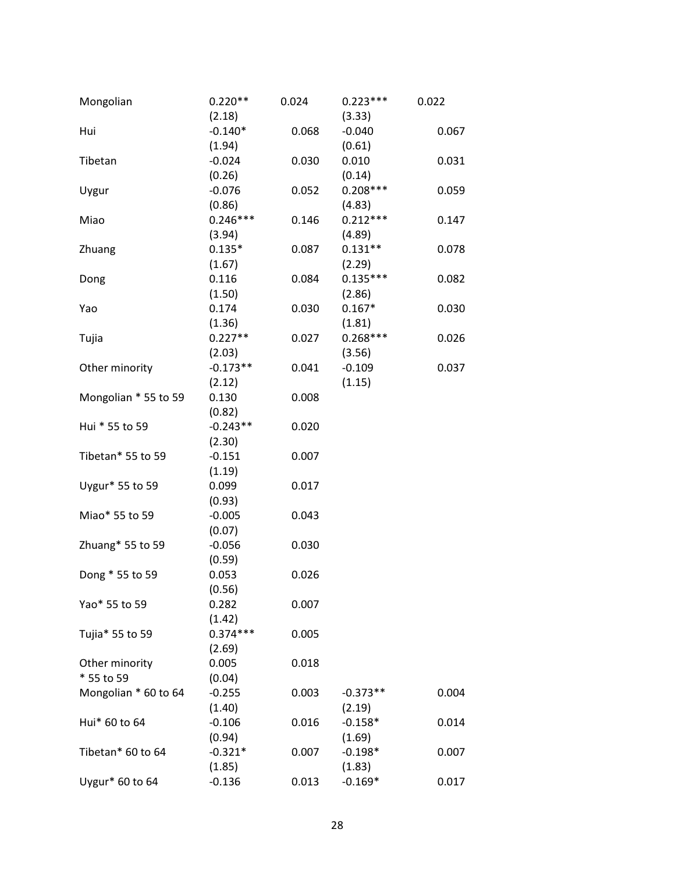| Mongolian            | $0.220**$  | 0.024 | $0.223***$ | 0.022 |
|----------------------|------------|-------|------------|-------|
|                      | (2.18)     |       | (3.33)     |       |
| Hui                  | $-0.140*$  | 0.068 | $-0.040$   | 0.067 |
|                      | (1.94)     |       | (0.61)     |       |
| Tibetan              | $-0.024$   | 0.030 | 0.010      | 0.031 |
|                      | (0.26)     |       | (0.14)     |       |
| Uygur                | $-0.076$   | 0.052 | $0.208***$ | 0.059 |
|                      | (0.86)     |       | (4.83)     |       |
| Miao                 | $0.246***$ | 0.146 | $0.212***$ | 0.147 |
|                      | (3.94)     |       | (4.89)     |       |
| Zhuang               | $0.135*$   | 0.087 | $0.131**$  | 0.078 |
|                      | (1.67)     |       | (2.29)     |       |
| Dong                 | 0.116      | 0.084 | $0.135***$ | 0.082 |
|                      | (1.50)     |       | (2.86)     |       |
| Yao                  | 0.174      | 0.030 | $0.167*$   | 0.030 |
|                      | (1.36)     |       | (1.81)     |       |
| Tujia                | $0.227**$  | 0.027 | $0.268***$ | 0.026 |
|                      | (2.03)     |       | (3.56)     |       |
| Other minority       | $-0.173**$ | 0.041 | $-0.109$   | 0.037 |
|                      | (2.12)     |       | (1.15)     |       |
| Mongolian * 55 to 59 | 0.130      | 0.008 |            |       |
|                      | (0.82)     |       |            |       |
| Hui * 55 to 59       | $-0.243**$ | 0.020 |            |       |
|                      | (2.30)     |       |            |       |
| Tibetan* 55 to 59    | $-0.151$   | 0.007 |            |       |
|                      | (1.19)     |       |            |       |
| Uygur* 55 to 59      | 0.099      | 0.017 |            |       |
|                      | (0.93)     |       |            |       |
| Miao* 55 to 59       | $-0.005$   | 0.043 |            |       |
|                      | (0.07)     |       |            |       |
| Zhuang* 55 to 59     | $-0.056$   | 0.030 |            |       |
|                      | (0.59)     |       |            |       |
| Dong * 55 to 59      | 0.053      | 0.026 |            |       |
|                      | (0.56)     |       |            |       |
| Yao* 55 to 59        | 0.282      | 0.007 |            |       |
|                      | (1.42)     |       |            |       |
| Tujia* 55 to 59      | $0.374***$ | 0.005 |            |       |
|                      | (2.69)     |       |            |       |
| Other minority       | 0.005      | 0.018 |            |       |
| * 55 to 59           | (0.04)     |       |            |       |
| Mongolian * 60 to 64 | $-0.255$   | 0.003 | $-0.373**$ | 0.004 |
|                      | (1.40)     |       | (2.19)     |       |
| Hui* 60 to 64        | $-0.106$   | 0.016 | $-0.158*$  | 0.014 |
|                      | (0.94)     |       | (1.69)     |       |
| Tibetan* 60 to 64    | $-0.321*$  | 0.007 | $-0.198*$  | 0.007 |
|                      | (1.85)     |       | (1.83)     |       |
| Uygur* 60 to 64      | $-0.136$   | 0.013 | $-0.169*$  | 0.017 |
|                      |            |       |            |       |